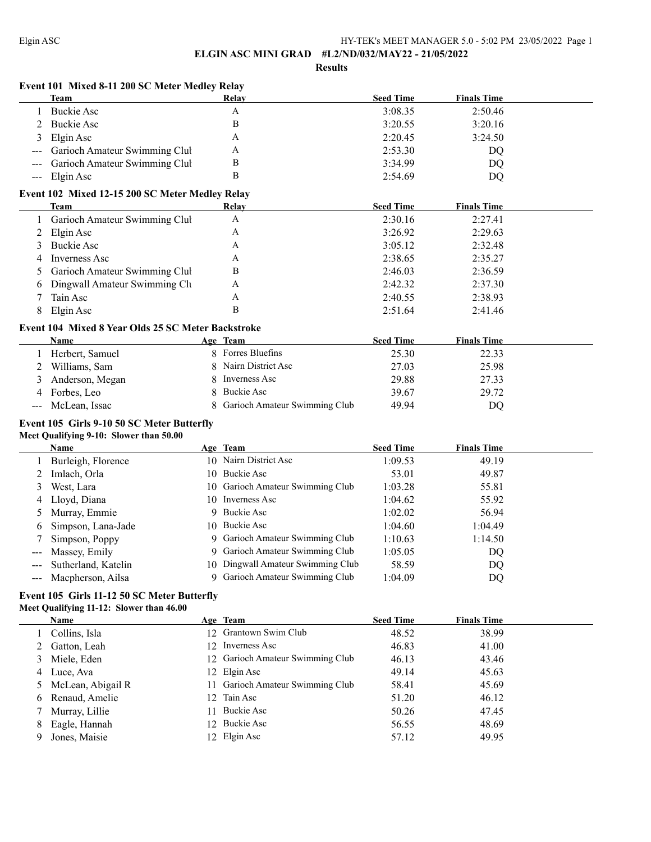$\overline{a}$ 

### **ELGIN ASC MINI GRAD #L2/ND/032/MAY22 - 21/05/2022**

**Results**

## **Event 101 Mixed 8-11 200 SC Meter Medley Relay**

|   | Team                              | Relav | <b>Seed Time</b> | <b>Finals Time</b> |  |
|---|-----------------------------------|-------|------------------|--------------------|--|
|   | Buckie Asc                        | А     | 3:08.35          | 2:50.46            |  |
|   | Buckie Asc                        |       | 3:20.55          | 3:20.16            |  |
| 3 | Elgin Asc                         | А     | 2:20.45          | 3:24.50            |  |
|   | --- Garioch Amateur Swimming Clul | А     | 2:53.30          | DO                 |  |
|   | --- Garioch Amateur Swimming Clul | В     | 3:34.99          | DQ                 |  |
|   | $-$ Elgin Asc                     |       | 2:54.69          | DO                 |  |
|   |                                   |       |                  |                    |  |

## **Event 102 Mixed 12-15 200 SC Meter Medley Relay**

| Team                            | Relay | <b>Seed Time</b> | <b>Finals Time</b> |  |
|---------------------------------|-------|------------------|--------------------|--|
| l Garioch Amateur Swimming Clul | Α     | 2:30.16          | 2:27.41            |  |
| 2 Elgin Asc                     | А     | 3:26.92          | 2:29.63            |  |
| 3 Buckie Asc                    | А     | 3:05.12          | 2:32.48            |  |
| 4 Inverness Asc                 | А     | 2:38.65          | 2:35.27            |  |
| 5 Garioch Amateur Swimming Clul | В     | 2:46.03          | 2:36.59            |  |
| 6 Dingwall Amateur Swimming Clu | Α     | 2:42.32          | 2:37.30            |  |
| Tain Asc                        | А     | 2:40.55          | 2:38.93            |  |
| Elgin Asc                       | В     | 2:51.64          | 2:41.46            |  |

## **Event 104 Mixed 8 Year Olds 25 SC Meter Backstroke**

|   | <b>Name</b>       | <b>Seed Time</b><br><b>Finals Time</b><br>Age Team |  |
|---|-------------------|----------------------------------------------------|--|
|   | Herbert, Samuel   | 8 Forres Bluefins<br>25.30<br>22.33                |  |
|   | 2 Williams, Sam   | 8 Nairn District Asc<br>25.98<br>27.03             |  |
| 3 | Anderson, Megan   | 29.88<br>27.33<br>Inverness Asc                    |  |
|   | 4 Forbes, Leo     | 8 Buckie Asc<br>39.67<br>29.72                     |  |
|   | --- McLean, Issac | 8 Garioch Amateur Swimming Club<br>49.94<br>DO     |  |

## **Event 105 Girls 9-10 50 SC Meter Butterfly Meet Qualifying 9-10: Slower than 50.00**

|                                                                                                                           | <b>Name</b>           | Age Team                          | <b>Seed Time</b> | <b>Finals Time</b> |
|---------------------------------------------------------------------------------------------------------------------------|-----------------------|-----------------------------------|------------------|--------------------|
|                                                                                                                           | Burleigh, Florence    | 10 Nairn District Asc             | 1:09.53          | 49.19              |
|                                                                                                                           | Imlach, Orla          | 10 Buckie Asc                     | 53.01            | 49.87              |
|                                                                                                                           | West, Lara            | 10 Garioch Amateur Swimming Club  | 1:03.28          | 55.81              |
|                                                                                                                           | 4 Lloyd, Diana        | 10 Inverness Asc                  | 1:04.62          | 55.92              |
|                                                                                                                           | Murray, Emmie         | 9 Buckie Asc                      | 1:02.02          | 56.94              |
| 6                                                                                                                         | Simpson, Lana-Jade    | 10 Buckie Asc                     | 1:04.60          | 1:04.49            |
|                                                                                                                           | Simpson, Poppy        | 9 Garioch Amateur Swimming Club   | 1:10.63          | 1:14.50            |
|                                                                                                                           | --- Massey, Emily     | 9 Garioch Amateur Swimming Club   | 1:05.05          | DQ                 |
| $\frac{1}{2} \left( \frac{1}{2} \right) \left( \frac{1}{2} \right) \left( \frac{1}{2} \right) \left( \frac{1}{2} \right)$ | Sutherland, Katelin   | 10 Dingwall Amateur Swimming Club | 58.59            | DQ                 |
|                                                                                                                           | --- Macpherson, Ailsa | 9 Garioch Amateur Swimming Club   | 1:04.09          | DQ                 |

# **Event 105 Girls 11-12 50 SC Meter Butterfly**

## **Meet Qualifying 11-12: Slower than 46.00**

|   | Name                | Age Team                         | <b>Seed Time</b> | <b>Finals Time</b> |
|---|---------------------|----------------------------------|------------------|--------------------|
|   | Collins, Isla       | 12 Grantown Swim Club            | 48.52            | 38.99              |
|   | 2 Gatton, Leah      | 12 Inverness Asc                 | 46.83            | 41.00              |
|   | 3 Miele, Eden       | 12 Garioch Amateur Swimming Club | 46.13            | 43.46              |
|   | 4 Luce, Ava         | 12 Elgin Asc                     | 49.14            | 45.63              |
|   | 5 McLean, Abigail R | 11 Garioch Amateur Swimming Club | 58.41            | 45.69              |
|   | 6 Renaud, Amelie    | 12 Tain Asc                      | 51.20            | 46.12              |
|   | 7 Murray, Lillie    | 11 Buckie Asc                    | 50.26            | 47.45              |
| 8 | Eagle, Hannah       | 12 Buckie Asc                    | 56.55            | 48.69              |
| 9 | Jones, Maisie       | 12 Elgin Asc                     | 57.12            | 49.95              |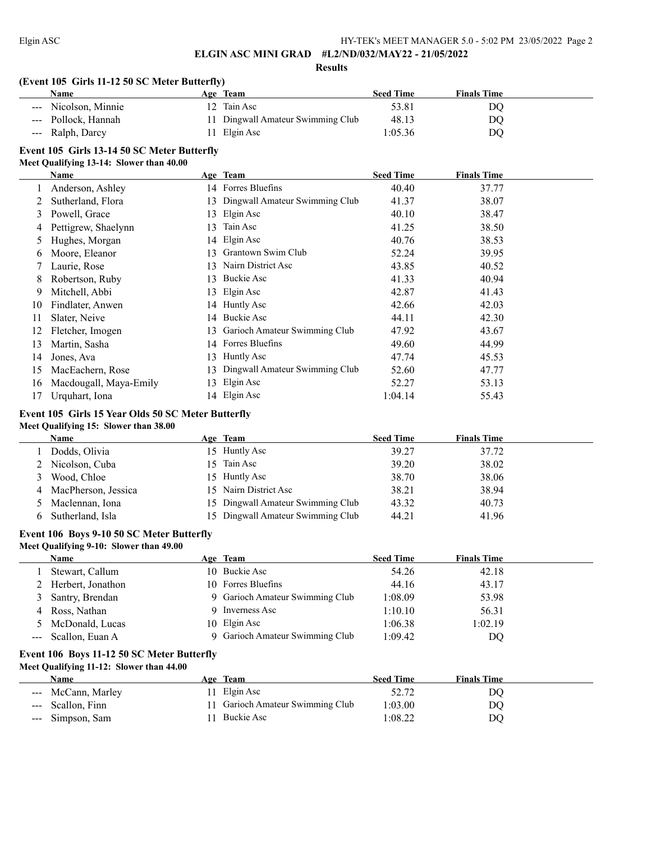**Results**

# **(Event 105 Girls 11-12 50 SC Meter Butterfly)**

| <b>Name</b>          | <b>Age Team</b>                   | <b>Seed Time</b> | <b>Finals Time</b> |  |
|----------------------|-----------------------------------|------------------|--------------------|--|
| --- Nicolson, Minnie | 12 Tain Asc                       | 53.81            | DO                 |  |
| --- Pollock, Hannah  | 11 Dingwall Amateur Swimming Club | 48.13            | DO                 |  |
| --- Ralph, Darcy     | 11 Elgin Asc                      | 1:05.36          | DO                 |  |

# **Event 105 Girls 13-14 50 SC Meter Butterfly**

### **Meet Qualifying 13-14: Slower than 40.00**

|    | Name                   |     | Age Team                          | <b>Seed Time</b> | <b>Finals Time</b> |  |
|----|------------------------|-----|-----------------------------------|------------------|--------------------|--|
|    | Anderson, Ashley       |     | 14 Forres Bluefins                | 40.40            | 37.77              |  |
|    | Sutherland, Flora      |     | 13 Dingwall Amateur Swimming Club | 41.37            | 38.07              |  |
| 3  | Powell, Grace          | 13  | Elgin Asc                         | 40.10            | 38.47              |  |
| 4  | Pettigrew, Shaelynn    | 13  | Tain Asc                          | 41.25            | 38.50              |  |
| 5  | Hughes, Morgan         |     | 14 Elgin Asc                      | 40.76            | 38.53              |  |
| 6  | Moore, Eleanor         | 13. | Grantown Swim Club                | 52.24            | 39.95              |  |
|    | Laurie, Rose           | 13. | Nairn District Asc                | 43.85            | 40.52              |  |
| 8  | Robertson, Ruby        | 13. | Buckie Asc                        | 41.33            | 40.94              |  |
| 9  | Mitchell, Abbi         |     | 13 Elgin Asc                      | 42.87            | 41.43              |  |
| 10 | Findlater, Anwen       |     | 14 Huntly Asc                     | 42.66            | 42.03              |  |
| 11 | Slater, Neive          |     | 14 Buckie Asc                     | 44.11            | 42.30              |  |
| 12 | Fletcher, Imogen       |     | 13 Garioch Amateur Swimming Club  | 47.92            | 43.67              |  |
| 13 | Martin, Sasha          |     | 14 Forres Bluefins                | 49.60            | 44.99              |  |
| 14 | Jones, Ava             | 13  | Huntly Asc                        | 47.74            | 45.53              |  |
| 15 | MacEachern, Rose       | 13  | Dingwall Amateur Swimming Club    | 52.60            | 47.77              |  |
| 16 | Macdougall, Maya-Emily | 13. | Elgin Asc                         | 52.27            | 53.13              |  |
| 17 | Urquhart, Iona         |     | 14 Elgin Asc                      | 1:04.14          | 55.43              |  |

## **Event 105 Girls 15 Year Olds 50 SC Meter Butterfly**

# **Meet Qualifying 15: Slower than 38.00**

|    | Name                  |    | Age Team                          | <b>Seed Time</b> | <b>Finals Time</b> |
|----|-----------------------|----|-----------------------------------|------------------|--------------------|
|    | Dodds, Olivia         |    | 15 Huntly Asc                     | 39.27            | 37.72              |
|    | Nicolson, Cuba        | 5. | Tain Asc                          | 39.20            | 38.02              |
| 3. | Wood, Chloe           |    | 15 Huntly Asc                     | 38.70            | 38.06              |
|    | 4 MacPherson, Jessica |    | 15 Nairn District Asc             | 38.21            | 38.94              |
|    | Maclennan, Iona       |    | 15 Dingwall Amateur Swimming Club | 43.32            | 40.73              |
|    | Sutherland, Isla      |    | 15 Dingwall Amateur Swimming Club | 44.21            | 41.96              |

## **Event 106 Boys 9-10 50 SC Meter Butterfly**

| Meet Qualifying 9-10: Slower than 49.00 |                     |  |                                 |                  |                    |  |
|-----------------------------------------|---------------------|--|---------------------------------|------------------|--------------------|--|
|                                         | <b>Name</b>         |  | Age Team                        | <b>Seed Time</b> | <b>Finals Time</b> |  |
|                                         | Stewart, Callum     |  | 10 Buckie Asc                   | 54.26            | 42.18              |  |
|                                         | 2 Herbert, Jonathon |  | 10 Forres Bluefins              | 44.16            | 43.17              |  |
|                                         | 3 Santry, Brendan   |  | 9 Garioch Amateur Swimming Club | 1:08.09          | 53.98              |  |
|                                         | 4 Ross, Nathan      |  | 9 Inverness Asc                 | 1:10.10          | 56.31              |  |
|                                         | 5 McDonald, Lucas   |  | 10 Elgin Asc                    | 1:06.38          | 1:02.19            |  |
|                                         | --- Scallon, Euan A |  | 9 Garioch Amateur Swimming Club | 1:09.42          | DQ                 |  |

## **Event 106 Boys 11-12 50 SC Meter Butterfly Meet Qualifying 11-12: Slower than 44.00**

| Name               | Age Team                         | <b>Seed Time</b> | <b>Finals Time</b> |  |
|--------------------|----------------------------------|------------------|--------------------|--|
| --- McCann, Marley | 11 Elgin Asc                     | 52.72            | DO                 |  |
| --- Scallon, Finn  | 11 Garioch Amateur Swimming Club | 1:03.00          | DO                 |  |
| --- Simpson, Sam   | 1 Buckie Asc                     | :08.22           | DO                 |  |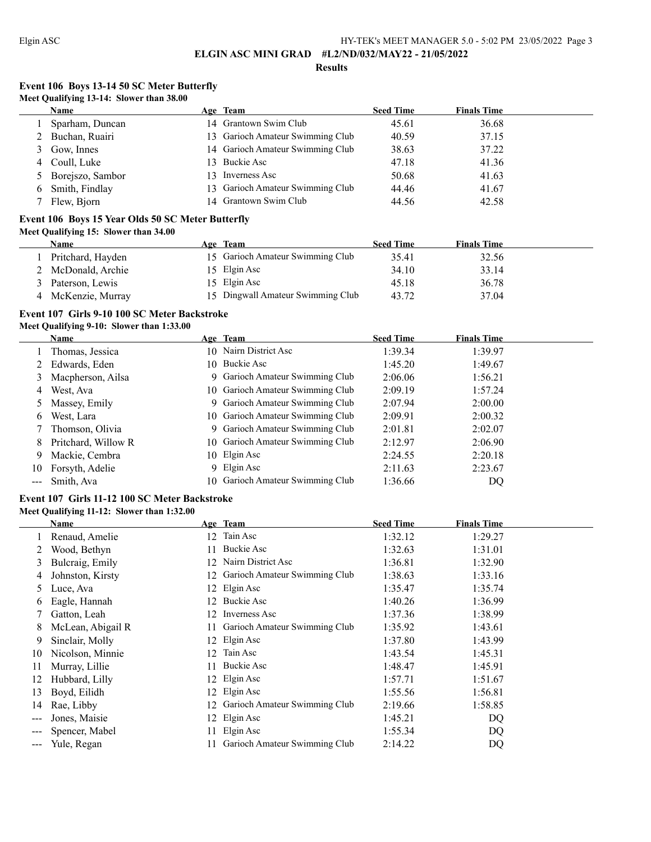#### **Results**

# **Event 106 Boys 13-14 50 SC Meter Butterfly Meet Qualifying 13-14: Slower than 38.00**

| <b>Name</b>        |     | Age Team                         | <b>Seed Time</b> | <b>Finals Time</b> |  |
|--------------------|-----|----------------------------------|------------------|--------------------|--|
| Sparham, Duncan    |     | 14 Grantown Swim Club            | 45.61            | 36.68              |  |
| 2 Buchan, Ruairi   | 13. | Garioch Amateur Swimming Club    | 40.59            | 37.15              |  |
| 3 Gow, Innes       |     | 14 Garioch Amateur Swimming Club | 38.63            | 37.22              |  |
| 4 Coull, Luke      |     | 13 Buckie Asc                    | 47.18            | 41.36              |  |
| 5 Borejszo, Sambor |     | 13 Inverness Asc                 | 50.68            | 41.63              |  |
| 6 Smith, Findlay   |     | 13 Garioch Amateur Swimming Club | 44.46            | 41.67              |  |
| Flew, Bjorn        |     | 14 Grantown Swim Club            | 44.56            | 42.58              |  |

## **Event 106 Boys 15 Year Olds 50 SC Meter Butterfly Meet Qualifying 15: Slower than 34.00**

| Name               | Age Team                          | <b>Seed Time</b> | <b>Finals Time</b> |  |
|--------------------|-----------------------------------|------------------|--------------------|--|
| Pritchard, Hayden  | 15 Garioch Amateur Swimming Club  | 35.41            | 32.56              |  |
| 2 McDonald, Archie | 15 Elgin Asc                      | 34.10            | 33.14              |  |
| Paterson, Lewis    | 15 Elgin Asc                      | 45.18            | 36.78              |  |
| McKenzie, Murray   | 15 Dingwall Amateur Swimming Club | 43.72            | 37.04              |  |

# **Event 107 Girls 9-10 100 SC Meter Backstroke**

# **Meet Qualifying 9-10: Slower than 1:33.00**

|    | Name                |    | Age Team                         | <b>Seed Time</b> | <b>Finals Time</b> |  |
|----|---------------------|----|----------------------------------|------------------|--------------------|--|
|    | Thomas, Jessica     |    | 10 Nairn District Asc            | 1:39.34          | 1:39.97            |  |
|    | 2 Edwards, Eden     |    | 10 Buckie Asc                    | 1:45.20          | 1:49.67            |  |
| 3  | Macpherson, Ailsa   |    | 9 Garioch Amateur Swimming Club  | 2:06.06          | 1:56.21            |  |
| 4  | West, Ava           |    | 10 Garioch Amateur Swimming Club | 2:09.19          | 1:57.24            |  |
|    | 5 Massey, Emily     |    | 9 Garioch Amateur Swimming Club  | 2:07.94          | 2:00.00            |  |
| 6  | West, Lara          |    | 10 Garioch Amateur Swimming Club | 2:09.91          | 2:00.32            |  |
|    | Thomson, Olivia     |    | 9 Garioch Amateur Swimming Club  | 2:01.81          | 2:02.07            |  |
| 8  | Pritchard, Willow R |    | 10 Garioch Amateur Swimming Club | 2:12.97          | 2:06.90            |  |
| 9  | Mackie, Cembra      |    | 10 Elgin Asc                     | 2:24.55          | 2:20.18            |  |
| 10 | Forsyth, Adelie     | 9. | Elgin Asc                        | 2:11.63          | 2:23.67            |  |
|    | Smith, Ava          |    | 10 Garioch Amateur Swimming Club | 1:36.66          | DQ                 |  |

## **Event 107 Girls 11-12 100 SC Meter Backstroke Meet Qualifying 11-12: Slower than 1:32.00**

|          | Name              |     | Age Team                      | <b>Seed Time</b> | <b>Finals Time</b> |
|----------|-------------------|-----|-------------------------------|------------------|--------------------|
|          | Renaud, Amelie    | 12. | Tain Asc                      | 1:32.12          | 1:29.27            |
|          | Wood, Bethyn      | 11  | Buckie Asc                    | 1:32.63          | 1:31.01            |
| 3        | Bulcraig, Emily   | 12. | Nairn District Asc            | 1:36.81          | 1:32.90            |
| 4        | Johnston, Kirsty  | 12. | Garioch Amateur Swimming Club | 1:38.63          | 1:33.16            |
| 5        | Luce, Ava         |     | 12 Elgin Asc                  | 1:35.47          | 1:35.74            |
| $\sigma$ | Eagle, Hannah     | 12. | Buckie Asc                    | 1:40.26          | 1:36.99            |
|          | Gatton, Leah      | 12. | Inverness Asc                 | 1:37.36          | 1:38.99            |
| 8        | McLean, Abigail R | 11. | Garioch Amateur Swimming Club | 1:35.92          | 1:43.61            |
| 9        | Sinclair, Molly   |     | 12 Elgin Asc                  | 1:37.80          | 1:43.99            |
| 10       | Nicolson, Minnie  | 12. | Tain Asc                      | 1:43.54          | 1:45.31            |
| 11       | Murray, Lillie    | 11  | Buckie Asc                    | 1:48.47          | 1:45.91            |
| 12       | Hubbard, Lilly    |     | 12 Elgin Asc                  | 1:57.71          | 1:51.67            |
| 13       | Boyd, Eilidh      | 12. | Elgin Asc                     | 1:55.56          | 1:56.81            |
| 14       | Rae, Libby        | 12. | Garioch Amateur Swimming Club | 2:19.66          | 1:58.85            |
| ---      | Jones, Maisie     | 12. | Elgin Asc                     | 1:45.21          | DQ                 |
|          | Spencer, Mabel    | 11. | Elgin Asc                     | 1:55.34          | DQ                 |
| $---$    | Yule, Regan       |     | Garioch Amateur Swimming Club | 2:14.22          | DQ                 |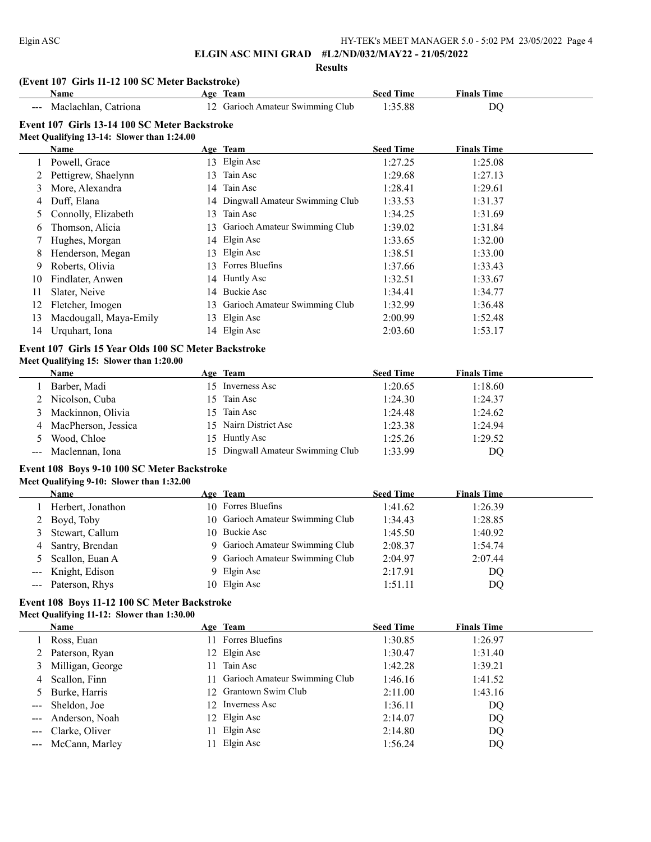**Results**

## **(Event 107 Girls 11-12 100 SC Meter Backstroke)**

|                   | Name                                          |     | Age Team                          | <b>Seed Time</b> | <b>Finals Time</b> |  |
|-------------------|-----------------------------------------------|-----|-----------------------------------|------------------|--------------------|--|
| $\qquad \qquad -$ | Maclachlan, Catriona                          |     | 12 Garioch Amateur Swimming Club  | 1:35.88          | DQ                 |  |
|                   | Event 107 Girls 13-14 100 SC Meter Backstroke |     |                                   |                  |                    |  |
|                   | Meet Qualifying 13-14: Slower than 1:24.00    |     |                                   |                  |                    |  |
|                   | Name                                          |     | Age Team                          | <b>Seed Time</b> | <b>Finals Time</b> |  |
|                   | Powell, Grace                                 |     | 13 Elgin Asc                      | 1:27.25          | 1:25.08            |  |
|                   | Pettigrew, Shaelynn                           | 13  | Tain Asc                          | 1:29.68          | 1:27.13            |  |
| 3                 | More, Alexandra                               | 14  | Tain Asc                          | 1:28.41          | 1:29.61            |  |
| 4                 | Duff, Elana                                   |     | 14 Dingwall Amateur Swimming Club | 1:33.53          | 1:31.37            |  |
|                   | Connolly, Elizabeth                           | 13  | Tain Asc                          | 1:34.25          | 1:31.69            |  |
| 6                 | Thomson, Alicia                               | 13  | Garioch Amateur Swimming Club     | 1:39.02          | 1:31.84            |  |
|                   | Hughes, Morgan                                |     | 14 Elgin Asc                      | 1:33.65          | 1:32.00            |  |
| 8                 | Henderson, Megan                              |     | 13 Elgin Asc                      | 1:38.51          | 1:33.00            |  |
| 9.                | Roberts, Olivia                               | 13. | Forres Bluefins                   | 1:37.66          | 1:33.43            |  |
| 10                | Findlater, Anwen                              |     | 14 Huntly Asc                     | 1:32.51          | 1:33.67            |  |
| 11                | Slater, Neive                                 | 14  | Buckie Asc                        | 1:34.41          | 1:34.77            |  |
| 12                | Fletcher, Imogen                              | 13  | Garioch Amateur Swimming Club     | 1:32.99          | 1:36.48            |  |
| 13                | Macdougall, Maya-Emily                        | 13  | Elgin Asc                         | 2:00.99          | 1:52.48            |  |
| 14                | Urquhart, Iona                                |     | 14 Elgin Asc                      | 2:03.60          | 1:53.17            |  |

# **Event 107 Girls 15 Year Olds 100 SC Meter Backstroke**

## **Meet Qualifying 15: Slower than 1:20.00**

| <b>Name</b>           | Age Team                          | <b>Seed Time</b> | <b>Finals Time</b> |  |
|-----------------------|-----------------------------------|------------------|--------------------|--|
| Barber, Madi          | 15 Inverness Asc                  | 1:20.65          | 1:18.60            |  |
| 2 Nicolson, Cuba      | 15 Tain Asc                       | 1:24.30          | 1:24.37            |  |
| 3 Mackinnon, Olivia   | 15 Tain Asc                       | 1:24.48          | 1:24.62            |  |
| 4 MacPherson, Jessica | 15 Nairn District Asc             | 1:23.38          | 1:24.94            |  |
| Wood, Chloe           | 15 Huntly Asc                     | 1:25.26          | 1:29.52            |  |
| --- Maclennan, Iona   | 15 Dingwall Amateur Swimming Club | 1:33.99          | DQ                 |  |

# **Event 108 Boys 9-10 100 SC Meter Backstroke**

# **Meet Qualifying 9-10: Slower than 1:32.00**

| Name               | Age Team                         | <b>Seed Time</b> | <b>Finals Time</b> |
|--------------------|----------------------------------|------------------|--------------------|
| Herbert, Jonathon  | 10 Forres Bluefins               | 1:41.62          | 1:26.39            |
| 2 Boyd, Toby       | 10 Garioch Amateur Swimming Club | 1:34.43          | 1:28.85            |
| 3 Stewart, Callum  | 10 Buckie Asc                    | 1:45.50          | 1:40.92            |
| 4 Santry, Brendan  | 9 Garioch Amateur Swimming Club  | 2:08.37          | 1:54.74            |
| 5 Scallon, Euan A  | 9 Garioch Amateur Swimming Club  | 2:04.97          | 2:07.44            |
| --- Knight, Edison | 9 Elgin Asc                      | 2:17.91          | DQ                 |
| --- Paterson, Rhys | 10 Elgin Asc                     | 1:51.11          | DO.                |

## **Event 108 Boys 11-12 100 SC Meter Backstroke Meet Qualifying 11-12: Slower than 1:30.00**

| <b>Name</b>        |     | Age Team                         | <b>Seed Time</b> | <b>Finals Time</b> |
|--------------------|-----|----------------------------------|------------------|--------------------|
| Ross, Euan         | 11. | Forres Bluefins                  | 1:30.85          | 1:26.97            |
| 2 Paterson, Ryan   |     | 12 Elgin Asc                     | 1:30.47          | 1:31.40            |
| 3 Milligan, George | 11. | Tain Asc                         | 1:42.28          | 1:39.21            |
| 4 Scallon, Finn    |     | 11 Garioch Amateur Swimming Club | 1:46.16          | 1:41.52            |
| 5 Burke, Harris    |     | 12 Grantown Swim Club            | 2:11.00          | 1:43.16            |
| --- Sheldon, Joe   |     | 12 Inverness Asc                 | 1:36.11          | DQ                 |
| --- Anderson, Noah |     | 12 Elgin Asc                     | 2:14.07          | DQ                 |
| --- Clarke, Oliver |     | 11 Elgin Asc                     | 2:14.80          | DQ                 |
| --- McCann, Marley |     | 11 Elgin Asc                     | 1:56.24          | DQ                 |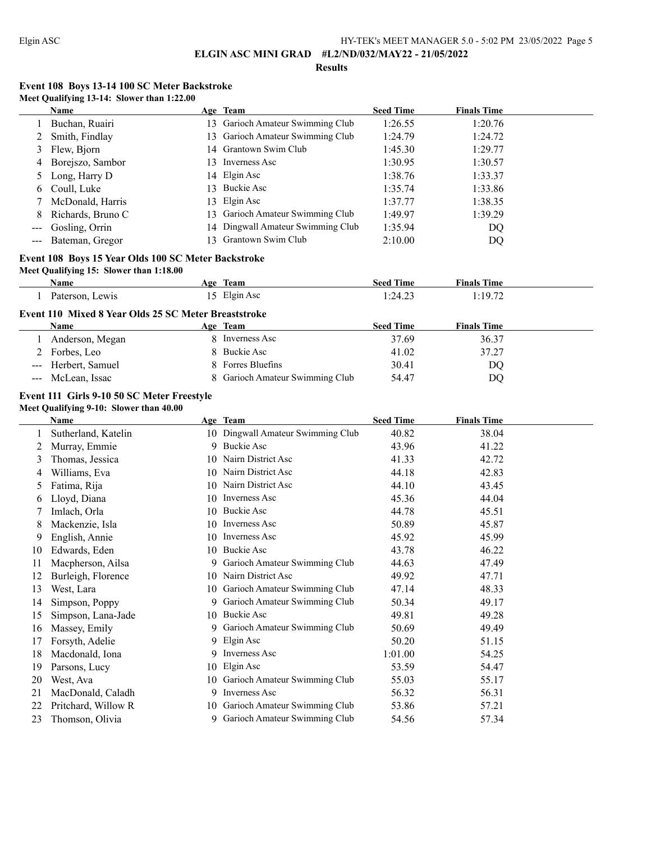### **Results**

## **Event 108 Boys 13-14 100 SC Meter Backstroke Meet Qualifying 13-14: Slower than 1:22.00**

|                   | Name                |     | Age Team                          | <b>Seed Time</b> | <b>Finals Time</b> |
|-------------------|---------------------|-----|-----------------------------------|------------------|--------------------|
|                   | Buchan, Ruairi      |     | 13 Garioch Amateur Swimming Club  | 1:26.55          | 1:20.76            |
|                   | Smith, Findlay      |     | 13 Garioch Amateur Swimming Club  | 1:24.79          | 1:24.72            |
|                   | 3 Flew, Bjorn       |     | 14 Grantown Swim Club             | 1:45.30          | 1:29.77            |
| 4                 | Borejszo, Sambor    | 13. | Inverness Asc                     | 1:30.95          | 1:30.57            |
|                   | Long, Harry D       |     | 14 Elgin Asc                      | 1:38.76          | 1:33.37            |
| 6.                | Coull, Luke         |     | 13 Buckie Asc                     | 1:35.74          | 1:33.86            |
|                   | McDonald, Harris    |     | 13 Elgin Asc                      | 1:37.77          | 1:38.35            |
| 8                 | Richards, Bruno C   |     | 13 Garioch Amateur Swimming Club  | 1:49.97          | 1:39.29            |
| $\qquad \qquad -$ | Gosling, Orrin      |     | 14 Dingwall Amateur Swimming Club | 1:35.94          | DQ                 |
|                   | --- Bateman, Gregor |     | Grantown Swim Club                | 2:10.00          | DQ                 |

# **Event 108 Boys 15 Year Olds 100 SC Meter Backstroke**

# **Meet Qualifying 15: Slower than 1:18.00**

| Name                         | Age<br>Team             | .<br>$\sim$<br>. Time<br>Seed | $\mathbf{r}$<br>1 îme<br>Finals |  |
|------------------------------|-------------------------|-------------------------------|---------------------------------|--|
| Paterson<br>ew <sub>18</sub> | Elgin Asc<br>ື່<br>____ | ⊤∙⊷<br>.                      | .107 <sup>2</sup>               |  |

## **Event 110 Mixed 8 Year Olds 25 SC Meter Breaststroke**

| Name                | Age Team                        | <b>Seed Time</b> | <b>Finals Time</b> |  |
|---------------------|---------------------------------|------------------|--------------------|--|
| Anderson, Megan     | Inverness Asc                   | 37.69            | 36.37              |  |
| 2 Forbes, Leo       | 8 Buckie Asc                    | 41.02            | 37.27              |  |
| --- Herbert, Samuel | 8 Forres Bluefins               | 30.41            | DQ                 |  |
| --- McLean, Issac   | 8 Garioch Amateur Swimming Club | 54.47            | DO                 |  |

# **Event 111 Girls 9-10 50 SC Meter Freestyle**

## **Meet Qualifying 9-10: Slower than 40.00**

|    | <b>Name</b>         |    | Age Team                          | <b>Seed Time</b> | <b>Finals Time</b> |
|----|---------------------|----|-----------------------------------|------------------|--------------------|
|    | Sutherland, Katelin |    | 10 Dingwall Amateur Swimming Club | 40.82            | 38.04              |
| 2  | Murray, Emmie       | 9  | Buckie Asc                        | 43.96            | 41.22              |
| 3  | Thomas, Jessica     | 10 | Nairn District Asc                | 41.33            | 42.72              |
| 4  | Williams, Eva       | 10 | Nairn District Asc                | 44.18            | 42.83              |
| 5  | Fatima, Rija        | 10 | Nairn District Asc                | 44.10            | 43.45              |
| 6  | Lloyd, Diana        | 10 | Inverness Asc                     | 45.36            | 44.04              |
|    | Imlach, Orla        | 10 | <b>Buckie Asc</b>                 | 44.78            | 45.51              |
| 8  | Mackenzie, Isla     | 10 | Inverness Asc                     | 50.89            | 45.87              |
| 9  | English, Annie      | 10 | Inverness Asc                     | 45.92            | 45.99              |
| 10 | Edwards, Eden       | 10 | <b>Buckie Asc</b>                 | 43.78            | 46.22              |
| 11 | Macpherson, Ailsa   | 9  | Garioch Amateur Swimming Club     | 44.63            | 47.49              |
| 12 | Burleigh, Florence  | 10 | Nairn District Asc                | 49.92            | 47.71              |
| 13 | West, Lara          | 10 | Garioch Amateur Swimming Club     | 47.14            | 48.33              |
| 14 | Simpson, Poppy      | 9  | Garioch Amateur Swimming Club     | 50.34            | 49.17              |
| 15 | Simpson, Lana-Jade  |    | 10 Buckie Asc                     | 49.81            | 49.28              |
| 16 | Massey, Emily       | 9. | Garioch Amateur Swimming Club     | 50.69            | 49.49              |
| 17 | Forsyth, Adelie     | 9  | Elgin Asc                         | 50.20            | 51.15              |
| 18 | Macdonald, Iona     | 9. | <b>Inverness Asc</b>              | 1:01.00          | 54.25              |
| 19 | Parsons, Lucy       | 10 | Elgin Asc                         | 53.59            | 54.47              |
| 20 | West, Ava           | 10 | Garioch Amateur Swimming Club     | 55.03            | 55.17              |
| 21 | MacDonald, Caladh   | 9  | <b>Inverness Asc</b>              | 56.32            | 56.31              |
| 22 | Pritchard, Willow R | 10 | Garioch Amateur Swimming Club     | 53.86            | 57.21              |
| 23 | Thomson, Olivia     | 9  | Garioch Amateur Swimming Club     | 54.56            | 57.34              |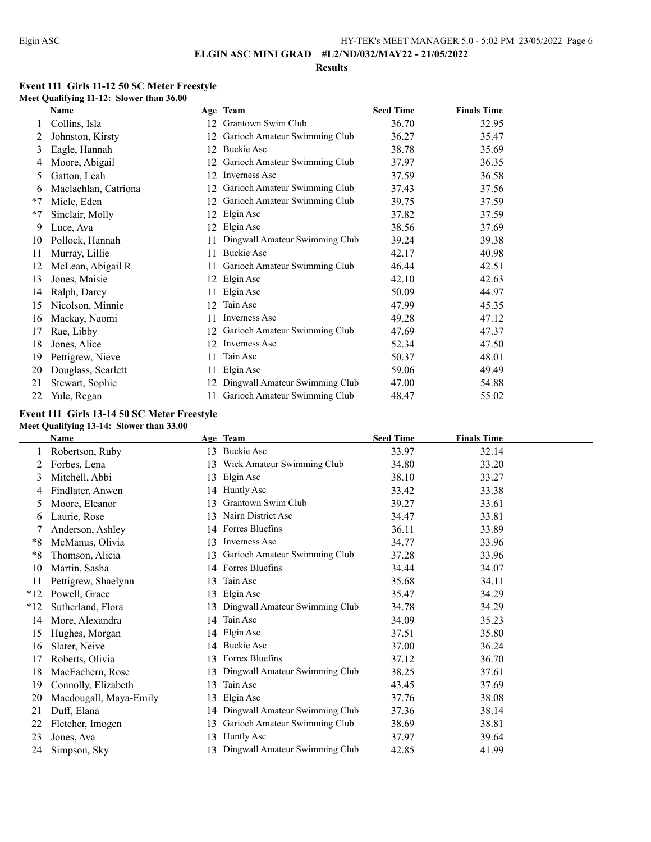#### **Results**

# **Event 111 Girls 11-12 50 SC Meter Freestyle Meet Qualifying 11-12: Slower than 36.00**

|      | <b>Name</b>          |    | Age Team                       | <b>Seed Time</b> | <b>Finals Time</b> |  |
|------|----------------------|----|--------------------------------|------------------|--------------------|--|
|      | Collins, Isla        | 12 | Grantown Swim Club             | 36.70            | 32.95              |  |
|      | Johnston, Kirsty     | 12 | Garioch Amateur Swimming Club  | 36.27            | 35.47              |  |
| 3    | Eagle, Hannah        | 12 | Buckie Asc                     | 38.78            | 35.69              |  |
| 4    | Moore, Abigail       |    | Garioch Amateur Swimming Club  | 37.97            | 36.35              |  |
| 5.   | Gatton, Leah         | 12 | Inverness Asc                  | 37.59            | 36.58              |  |
| 6    | Maclachlan, Catriona | 12 | Garioch Amateur Swimming Club  | 37.43            | 37.56              |  |
| $*7$ | Miele, Eden          | 12 | Garioch Amateur Swimming Club  | 39.75            | 37.59              |  |
| $*7$ | Sinclair, Molly      | 12 | Elgin Asc                      | 37.82            | 37.59              |  |
| 9    | Luce, Ava            | 12 | Elgin Asc                      | 38.56            | 37.69              |  |
| 10   | Pollock, Hannah      |    | Dingwall Amateur Swimming Club | 39.24            | 39.38              |  |
| 11   | Murray, Lillie       | 11 | Buckie Asc                     | 42.17            | 40.98              |  |
| 12   | McLean, Abigail R    | 11 | Garioch Amateur Swimming Club  | 46.44            | 42.51              |  |
| 13   | Jones, Maisie        | 12 | Elgin Asc                      | 42.10            | 42.63              |  |
| 14   | Ralph, Darcy         | 11 | Elgin Asc                      | 50.09            | 44.97              |  |
| 15   | Nicolson, Minnie     | 12 | Tain Asc                       | 47.99            | 45.35              |  |
| 16   | Mackay, Naomi        | 11 | <b>Inverness Asc</b>           | 49.28            | 47.12              |  |
| 17   | Rae, Libby           | 12 | Garioch Amateur Swimming Club  | 47.69            | 47.37              |  |
| 18   | Jones, Alice         | 12 | <b>Inverness Asc</b>           | 52.34            | 47.50              |  |
| 19   | Pettigrew, Nieve     | 11 | Tain Asc                       | 50.37            | 48.01              |  |
| 20   | Douglass, Scarlett   | 11 | Elgin Asc                      | 59.06            | 49.49              |  |
| 21   | Stewart, Sophie      | 12 | Dingwall Amateur Swimming Club | 47.00            | 54.88              |  |
| 22   | Yule, Regan          | 11 | Garioch Amateur Swimming Club  | 48.47            | 55.02              |  |

## **Event 111 Girls 13-14 50 SC Meter Freestyle Meet Qualifying 13-14: Slower than 33.00**

|       | Name                   |    | Age Team                       | <b>Seed Time</b> | <b>Finals Time</b> |  |
|-------|------------------------|----|--------------------------------|------------------|--------------------|--|
|       | Robertson, Ruby        | 13 | Buckie Asc                     | 33.97            | 32.14              |  |
| 2     | Forbes, Lena           | 13 | Wick Amateur Swimming Club     | 34.80            | 33.20              |  |
| 3     | Mitchell, Abbi         | 13 | Elgin Asc                      | 38.10            | 33.27              |  |
| 4     | Findlater, Anwen       | 14 | Huntly Asc                     | 33.42            | 33.38              |  |
| 5     | Moore, Eleanor         | 13 | Grantown Swim Club             | 39.27            | 33.61              |  |
| 6     | Laurie, Rose           | 13 | Nairn District Asc             | 34.47            | 33.81              |  |
|       | Anderson, Ashley       | 14 | Forres Bluefins                | 36.11            | 33.89              |  |
| *8    | McManus, Olivia        | 13 | <b>Inverness Asc</b>           | 34.77            | 33.96              |  |
| *8    | Thomson, Alicia        | 13 | Garioch Amateur Swimming Club  | 37.28            | 33.96              |  |
| 10    | Martin, Sasha          | 14 | Forres Bluefins                | 34.44            | 34.07              |  |
| 11    | Pettigrew, Shaelynn    | 13 | Tain Asc                       | 35.68            | 34.11              |  |
| $*12$ | Powell, Grace          | 13 | Elgin Asc                      | 35.47            | 34.29              |  |
| $*12$ | Sutherland, Flora      | 13 | Dingwall Amateur Swimming Club | 34.78            | 34.29              |  |
| 14    | More, Alexandra        | 14 | Tain Asc                       | 34.09            | 35.23              |  |
| 15    | Hughes, Morgan         | 14 | Elgin Asc                      | 37.51            | 35.80              |  |
| 16    | Slater, Neive          | 14 | <b>Buckie Asc</b>              | 37.00            | 36.24              |  |
| 17    | Roberts, Olivia        | 13 | Forres Bluefins                | 37.12            | 36.70              |  |
| 18    | MacEachern, Rose       | 13 | Dingwall Amateur Swimming Club | 38.25            | 37.61              |  |
| 19    | Connolly, Elizabeth    | 13 | Tain Asc                       | 43.45            | 37.69              |  |
| 20    | Macdougall, Maya-Emily | 13 | Elgin Asc                      | 37.76            | 38.08              |  |
| 21    | Duff, Elana            | 14 | Dingwall Amateur Swimming Club | 37.36            | 38.14              |  |
| 22    | Fletcher, Imogen       | 13 | Garioch Amateur Swimming Club  | 38.69            | 38.81              |  |
| 23    | Jones, Ava             | 13 | Huntly Asc                     | 37.97            | 39.64              |  |
| 24    | Simpson, Sky           | 13 | Dingwall Amateur Swimming Club | 42.85            | 41.99              |  |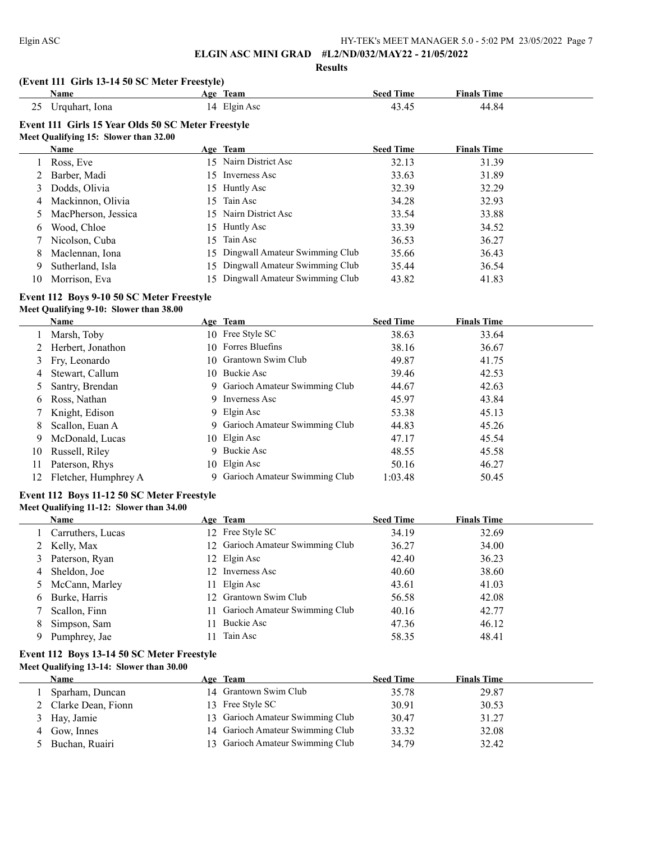#### **Results**

## **(Event 111 Girls 13-14 50 SC Meter Freestyle)**

|    | Name                                               |     | Age Team              | <b>Seed Time</b> | <b>Finals Time</b> |  |
|----|----------------------------------------------------|-----|-----------------------|------------------|--------------------|--|
| 25 | Urquhart, Iona                                     |     | 14 Elgin Asc          | 43.45            | 44.84              |  |
|    | Event 111 Girls 15 Year Olds 50 SC Meter Freestyle |     |                       |                  |                    |  |
|    | Meet Qualifying 15: Slower than 32.00              |     |                       |                  |                    |  |
|    | Name                                               |     | Age Team              | <b>Seed Time</b> | <b>Finals Time</b> |  |
|    | Ross, Eve                                          |     | 15 Nairn District Asc | 32.13            | 31.39              |  |
|    | 2 Barber, Madi                                     |     | 15 Inverness Asc      | 33.63            | 31.89              |  |
|    | 3 Dodds, Olivia                                    |     | 15 Huntly Asc         | 32.39            | 32.29              |  |
|    | 4 Mackinnon, Olivia                                | 15. | Tain Asc              | 34.28            | 32.93              |  |
|    | 5 MacPherson Jessica                               |     | 15 Nairn District Asc | 33,54            | 33.88              |  |

| MacPherson, Jessica | 1.) Naihi District Asc            | 33.34 |       |
|---------------------|-----------------------------------|-------|-------|
| Wood, Chloe         | 15 Huntly Asc                     | 33.39 | 34.52 |
| Nicolson, Cuba      | 15 Tain Asc                       | 36.53 | 36.27 |
| Maclennan, Iona     | 15 Dingwall Amateur Swimming Club | 35.66 | 36.43 |
| Sutherland, Isla    | 15 Dingwall Amateur Swimming Club | 35.44 | 36.54 |
| Morrison, Eva       | 15 Dingwall Amateur Swimming Club | 43.82 | 41.83 |

# **Event 112 Boys 9-10 50 SC Meter Freestyle**

# **Meet Qualifying 9-10: Slower than 38.00**

|    | Name                 | Age Team                        | <b>Seed Time</b> | <b>Finals Time</b> |  |
|----|----------------------|---------------------------------|------------------|--------------------|--|
|    | Marsh, Toby          | 10 Free Style SC                | 38.63            | 33.64              |  |
|    | 2 Herbert, Jonathon  | 10 Forres Bluefins              | 38.16            | 36.67              |  |
|    | 3 Fry, Leonardo      | 10 Grantown Swim Club           | 49.87            | 41.75              |  |
| 4  | Stewart, Callum      | 10 Buckie Asc                   | 39.46            | 42.53              |  |
|    | Santry, Brendan      | 9 Garioch Amateur Swimming Club | 44.67            | 42.63              |  |
| 6  | Ross, Nathan         | 9 Inverness Asc                 | 45.97            | 43.84              |  |
|    | 7 Knight, Edison     | 9 Elgin Asc                     | 53.38            | 45.13              |  |
| 8  | Scallon, Euan A      | 9 Garioch Amateur Swimming Club | 44.83            | 45.26              |  |
| 9  | McDonald, Lucas      | 10 Elgin Asc                    | 47.17            | 45.54              |  |
| 10 | Russell, Riley       | 9 Buckie Asc                    | 48.55            | 45.58              |  |
| 11 | Paterson, Rhys       | 10 Elgin Asc                    | 50.16            | 46.27              |  |
| 12 | Fletcher, Humphrey A | 9 Garioch Amateur Swimming Club | 1:03.48          | 50.45              |  |

## **Event 112 Boys 11-12 50 SC Meter Freestyle Meet Qualifying 11-12: Slower than 34.00**

|   | <b>Name</b>       | Age Team                         | <b>Seed Time</b> | <b>Finals Time</b> |
|---|-------------------|----------------------------------|------------------|--------------------|
|   | Carruthers, Lucas | 12 Free Style SC                 | 34.19            | 32.69              |
|   | 2 Kelly, Max      | 12 Garioch Amateur Swimming Club | 36.27            | 34.00              |
|   | 3 Paterson, Ryan  | 12 Elgin Asc                     | 42.40            | 36.23              |
| 4 | Sheldon, Joe      | 12 Inverness Asc                 | 40.60            | 38.60              |
|   | 5 McCann, Marley  | 11 Elgin Asc                     | 43.61            | 41.03              |
| 6 | Burke, Harris     | 12 Grantown Swim Club            | 56.58            | 42.08              |
|   | Scallon, Finn     | 11 Garioch Amateur Swimming Club | 40.16            | 42.77              |
| 8 | Simpson, Sam      | 11 Buckie Asc                    | 47.36            | 46.12              |
| 9 | Pumphrey, Jae     | 11 Tain Asc                      | 58.35            | 48.41              |

## **Event 112 Boys 13-14 50 SC Meter Freestyle Meet Qualifying 13-14: Slower than 30.00**

| Name                 | Age Team                         | <b>Seed Time</b> | <b>Finals Time</b> |
|----------------------|----------------------------------|------------------|--------------------|
| Sparham, Duncan      | 14 Grantown Swim Club            | 35.78            | 29.87              |
| 2 Clarke Dean, Fionn | 13 Free Style SC                 | 30.91            | 30.53              |
| 3 Hay, Jamie         | 13 Garioch Amateur Swimming Club | 30.47            | 31.27              |
| 4 Gow, Innes         | 14 Garioch Amateur Swimming Club | 33.32            | 32.08              |
| Buchan, Ruairi       | 13 Garioch Amateur Swimming Club | 34.79            | 32.42              |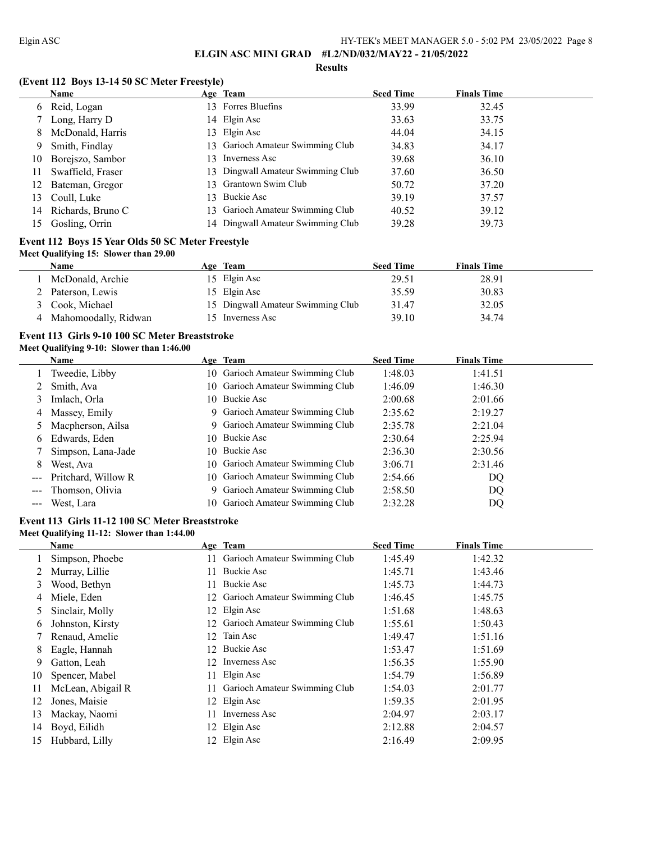#### **Results**

# **(Event 112 Boys 13-14 50 SC Meter Freestyle)**

|     | <b>Name</b>       |     | Age Team                          | <b>Seed Time</b> | <b>Finals Time</b> |
|-----|-------------------|-----|-----------------------------------|------------------|--------------------|
| 6   | Reid, Logan       |     | 13 Forres Bluefins                | 33.99            | 32.45              |
|     | 7 Long, Harry D   |     | 14 Elgin Asc                      | 33.63            | 33.75              |
| 8   | McDonald, Harris  |     | 13 Elgin Asc                      | 44.04            | 34.15              |
| 9   | Smith, Findlay    |     | 13 Garioch Amateur Swimming Club  | 34.83            | 34.17              |
| 10  | Borejszo, Sambor  | 13. | Inverness Asc                     | 39.68            | 36.10              |
| 11. | Swaffield, Fraser |     | 13 Dingwall Amateur Swimming Club | 37.60            | 36.50              |
| 12. | Bateman, Gregor   |     | 13 Grantown Swim Club             | 50.72            | 37.20              |
| 13. | Coull, Luke       |     | 13 Buckie Asc                     | 39.19            | 37.57              |
| 14  | Richards, Bruno C |     | 13 Garioch Amateur Swimming Club  | 40.52            | 39.12              |
| 15. | Gosling, Orrin    |     | 14 Dingwall Amateur Swimming Club | 39.28            | 39.73              |

## **Event 112 Boys 15 Year Olds 50 SC Meter Freestyle Meet Qualifying 15: Slower than 29.00**

| Name                 | Age Team                          | <b>Seed Time</b> | <b>Finals Time</b> |
|----------------------|-----------------------------------|------------------|--------------------|
| McDonald, Archie     | 15 Elgin Asc                      | 29.51            | 28.91              |
| Paterson, Lewis      | 15 Elgin Asc                      | 35.59            | 30.83              |
| 3 Cook, Michael      | 15 Dingwall Amateur Swimming Club | 31.47            | 32.05              |
| Mahomoodally, Ridwan | 15 Inverness Asc                  | 39.10            | 34.74              |

## **Event 113 Girls 9-10 100 SC Meter Breaststroke Meet Qualifying 9-10: Slower than 1:46.00**

|                                                                                                                                                                                                                                                                                                                                                                                                                                                                            | <b>Name</b>         |     | Age Team                         | <b>Seed Time</b> | <b>Finals Time</b> |  |
|----------------------------------------------------------------------------------------------------------------------------------------------------------------------------------------------------------------------------------------------------------------------------------------------------------------------------------------------------------------------------------------------------------------------------------------------------------------------------|---------------------|-----|----------------------------------|------------------|--------------------|--|
|                                                                                                                                                                                                                                                                                                                                                                                                                                                                            | Tweedie, Libby      |     | 10 Garioch Amateur Swimming Club | 1:48.03          | 1:41.51            |  |
|                                                                                                                                                                                                                                                                                                                                                                                                                                                                            | 2 Smith, Ava        |     | 10 Garioch Amateur Swimming Club | 1:46.09          | 1:46.30            |  |
| 3                                                                                                                                                                                                                                                                                                                                                                                                                                                                          | Imlach, Orla        |     | 10 Buckie Asc                    | 2:00.68          | 2:01.66            |  |
|                                                                                                                                                                                                                                                                                                                                                                                                                                                                            | 4 Massey, Emily     |     | 9 Garioch Amateur Swimming Club  | 2:35.62          | 2:19.27            |  |
|                                                                                                                                                                                                                                                                                                                                                                                                                                                                            | 5 Macpherson, Ailsa |     | 9 Garioch Amateur Swimming Club  | 2:35.78          | 2:21.04            |  |
| 6                                                                                                                                                                                                                                                                                                                                                                                                                                                                          | Edwards, Eden       |     | 10 Buckie Asc                    | 2:30.64          | 2:25.94            |  |
|                                                                                                                                                                                                                                                                                                                                                                                                                                                                            | Simpson, Lana-Jade  |     | 10 Buckie Asc                    | 2:36.30          | 2:30.56            |  |
| 8                                                                                                                                                                                                                                                                                                                                                                                                                                                                          | West, Ava           |     | 10 Garioch Amateur Swimming Club | 3:06.71          | 2:31.46            |  |
| $\frac{1}{2} \left( \frac{1}{2} \right) \left( \frac{1}{2} \right) \left( \frac{1}{2} \right) \left( \frac{1}{2} \right) \left( \frac{1}{2} \right) \left( \frac{1}{2} \right) \left( \frac{1}{2} \right) \left( \frac{1}{2} \right) \left( \frac{1}{2} \right) \left( \frac{1}{2} \right) \left( \frac{1}{2} \right) \left( \frac{1}{2} \right) \left( \frac{1}{2} \right) \left( \frac{1}{2} \right) \left( \frac{1}{2} \right) \left( \frac{1}{2} \right) \left( \frac$ | Pritchard, Willow R |     | 10 Garioch Amateur Swimming Club | 2:54.66          | DQ                 |  |
|                                                                                                                                                                                                                                                                                                                                                                                                                                                                            | Thomson, Olivia     |     | 9 Garioch Amateur Swimming Club  | 2:58.50          | DQ                 |  |
|                                                                                                                                                                                                                                                                                                                                                                                                                                                                            | West, Lara          | 10. | Garioch Amateur Swimming Club    | 2:32.28          | DQ                 |  |
|                                                                                                                                                                                                                                                                                                                                                                                                                                                                            |                     |     |                                  |                  |                    |  |

# **Event 113 Girls 11-12 100 SC Meter Breaststroke**

**Meet Qualifying 11-12: Slower than 1:44.00**

|    | Name              |     | Age Team                         | <b>Seed Time</b> | <b>Finals Time</b> |
|----|-------------------|-----|----------------------------------|------------------|--------------------|
|    | Simpson, Phoebe   |     | Garioch Amateur Swimming Club    | 1:45.49          | 1:42.32            |
|    | Murray, Lillie    |     | Buckie Asc                       | 1:45.71          | 1:43.46            |
| 3  | Wood, Bethyn      |     | Buckie Asc                       | 1:45.73          | 1:44.73            |
| 4  | Miele, Eden       | 12. | Garioch Amateur Swimming Club    | 1:46.45          | 1:45.75            |
| 5. | Sinclair, Molly   |     | 12 Elgin Asc                     | 1:51.68          | 1:48.63            |
| 6  | Johnston, Kirsty  |     | 12 Garioch Amateur Swimming Club | 1:55.61          | 1:50.43            |
|    | Renaud, Amelie    | 12  | Tain Asc                         | 1:49.47          | 1:51.16            |
| 8  | Eagle, Hannah     | 12  | Buckie Asc                       | 1:53.47          | 1:51.69            |
| 9  | Gatton, Leah      | 12  | Inverness Asc                    | 1:56.35          | 1:55.90            |
| 10 | Spencer, Mabel    |     | Elgin Asc                        | 1:54.79          | 1:56.89            |
| 11 | McLean, Abigail R |     | Garioch Amateur Swimming Club    | 1:54.03          | 2:01.77            |
| 12 | Jones, Maisie     |     | 12 Elgin Asc                     | 1:59.35          | 2:01.95            |
| 13 | Mackay, Naomi     |     | Inverness Asc                    | 2:04.97          | 2:03.17            |
| 14 | Boyd, Eilidh      |     | 12 Elgin Asc                     | 2:12.88          | 2:04.57            |
| 15 | Hubbard, Lilly    | 12. | Elgin Asc                        | 2:16.49          | 2:09.95            |
|    |                   |     |                                  |                  |                    |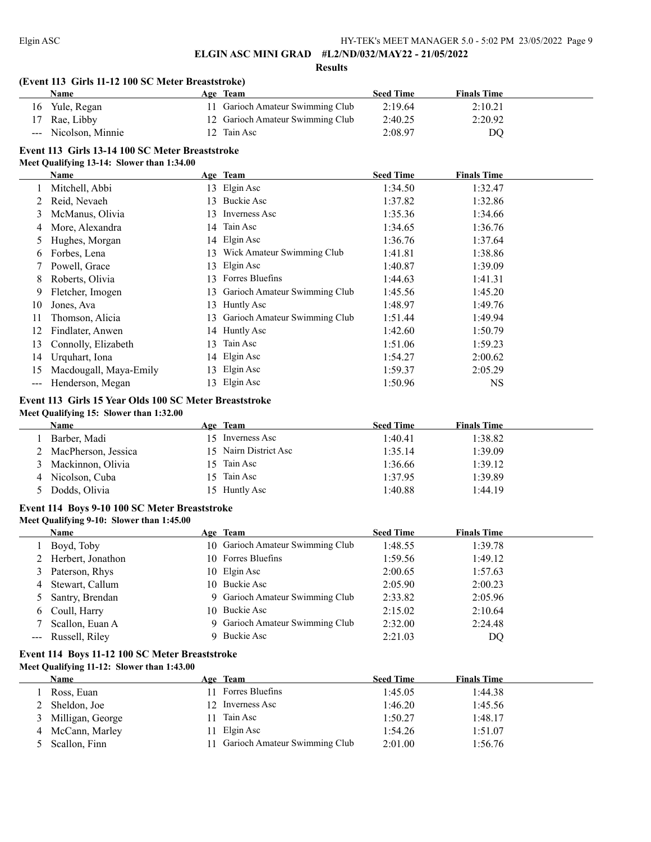**Results**

## **(Event 113 Girls 11-12 100 SC Meter Breaststroke)**

| <b>Name</b>          | Age Team                         | <b>Seed Time</b> | <b>Finals Time</b> |  |
|----------------------|----------------------------------|------------------|--------------------|--|
| 16 Yule, Regan       | 11 Garioch Amateur Swimming Club | 2:19.64          | 2:10.21            |  |
| 17 Rae, Libby        | 12 Garioch Amateur Swimming Club | 2:40.25          | 2:20.92            |  |
| --- Nicolson, Minnie | 12 Tain Asc                      | 2:08.97          | DO                 |  |

# **Event 113 Girls 13-14 100 SC Meter Breaststroke**

#### **Meet Qualifying 13-14: Slower than 1:34.00**

|       | Name                   |     | Age Team                      | <b>Seed Time</b> | <b>Finals Time</b> |  |
|-------|------------------------|-----|-------------------------------|------------------|--------------------|--|
|       | Mitchell, Abbi         | 13. | Elgin Asc                     | 1:34.50          | 1:32.47            |  |
|       | Reid, Nevaeh           | 13  | Buckie Asc                    | 1:37.82          | 1:32.86            |  |
| 3     | McManus, Olivia        | 13. | Inverness Asc                 | 1:35.36          | 1:34.66            |  |
| 4     | More, Alexandra        | 14  | Tain Asc                      | 1:34.65          | 1:36.76            |  |
| 5     | Hughes, Morgan         |     | 14 Elgin Asc                  | 1:36.76          | 1:37.64            |  |
| 6     | Forbes, Lena           | 13  | Wick Amateur Swimming Club    | 1:41.81          | 1:38.86            |  |
|       | Powell, Grace          | 13  | Elgin Asc                     | 1:40.87          | 1:39.09            |  |
| 8     | Roberts, Olivia        | 13  | Forres Bluefins               | 1:44.63          | 1:41.31            |  |
| 9     | Fletcher, Imogen       | 13. | Garioch Amateur Swimming Club | 1:45.56          | 1:45.20            |  |
| 10    | Jones, Ava             | 13  | Huntly Asc                    | 1:48.97          | 1:49.76            |  |
|       | Thomson, Alicia        | 13  | Garioch Amateur Swimming Club | 1:51.44          | 1:49.94            |  |
| 12    | Findlater, Anwen       |     | 14 Huntly Asc                 | 1:42.60          | 1:50.79            |  |
| 13    | Connolly, Elizabeth    | 13  | Tain Asc                      | 1:51.06          | 1:59.23            |  |
| 14    | Urquhart, Iona         | 14  | Elgin Asc                     | 1:54.27          | 2:00.62            |  |
| 15    | Macdougall, Maya-Emily | 13  | Elgin Asc                     | 1:59.37          | 2:05.29            |  |
| $---$ | Henderson, Megan       | 13  | Elgin Asc                     | 1:50.96          | NS                 |  |

# **Event 113 Girls 15 Year Olds 100 SC Meter Breaststroke**

### **Meet Qualifying 15: Slower than 1:32.00**

| Name                | Age Team              | <b>Seed Time</b> | <b>Finals Time</b> |
|---------------------|-----------------------|------------------|--------------------|
| Barber, Madi        | 15 Inverness Asc      | 1:40.41          | 1:38.82            |
| MacPherson, Jessica | 15 Nairn District Asc | 1:35.14          | 1:39.09            |
| Mackinnon, Olivia   | 15 Tain Asc           | 1:36.66          | 1:39.12            |
| Nicolson, Cuba      | 15 Tain Asc           | 1:37.95          | 1:39.89            |
| Dodds, Olivia       | 15 Huntly Asc         | 1:40.88          | 1:44.19            |

## **Event 114 Boys 9-10 100 SC Meter Breaststroke Meet Qualifying 9-10: Slower than 1:45.00**

# **Age Team Seed Time Finals Time**  Boyd, Toby 10 Garioch Amateur Swimming Club 1:48.55 1:39.78 Herbert, Jonathon 10 Forres Bluefins 1:59.56 1:49.12 Paterson, Rhys 10 Elgin Asc 2:00.65 1:57.63 Stewart, Callum 10 Buckie Asc 2:05.90 2:00.23 Santry, Brendan 9 Garioch Amateur Swimming Club 2:33.82 2:05.96 Coull, Harry 10 Buckie Asc 2:15.02 2:10.64 Scallon, Euan A 9 Garioch Amateur Swimming Club 2:32.00 2:24.48 --- Russell, Riley 9 Buckie Asc 2:21.03 DQ

## **Event 114 Boys 11-12 100 SC Meter Breaststroke Meet Qualifying 11-12: Slower than 1:43.00**

| <b>Name</b>        | Age Team                         | <b>Seed Time</b> | <b>Finals Time</b> |
|--------------------|----------------------------------|------------------|--------------------|
| Ross, Euan         | Forres Bluefins                  | 1:45.05          | 1:44.38            |
| Sheldon, Joe       | 12 Inverness Asc                 | 1:46.20          | 1:45.56            |
| 3 Milligan, George | Tain Asc                         | 1:50.27          | 1:48.17            |
| McCann, Marley     | 11 Elgin Asc                     | 1:54.26          | 1:51.07            |
| Scallon, Finn      | 11 Garioch Amateur Swimming Club | 2:01.00          | 1:56.76            |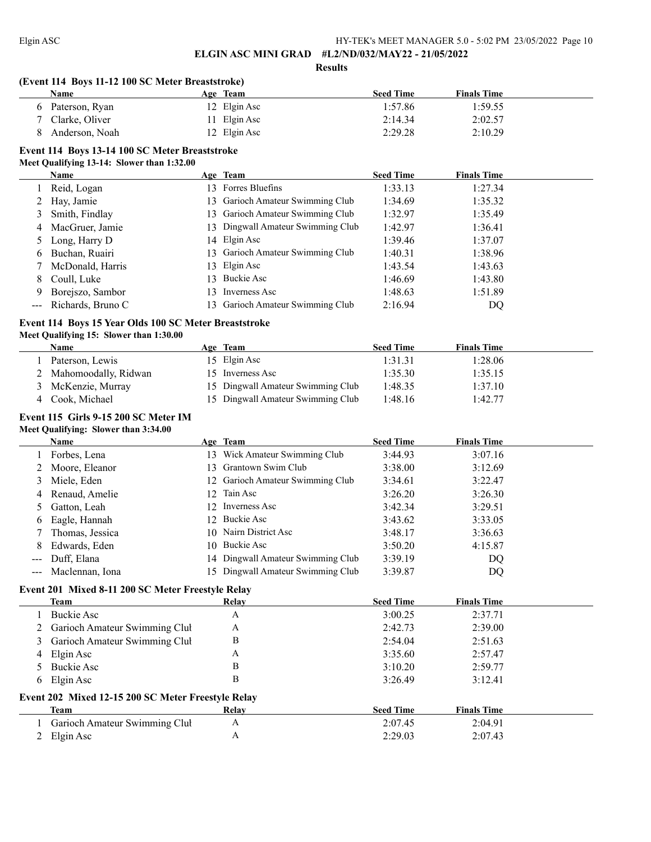**Results**

# **(Event 114 Boys 11-12 100 SC Meter Breaststroke)**

|   | Name           | Age Team     | <b>Seed Time</b> | <b>Finals Time</b> |
|---|----------------|--------------|------------------|--------------------|
| 6 | Paterson, Ryan | 12 Elgin Asc | 1:57.86          | 1:59.55            |
|   | Clarke, Oliver | 11 Elgin Asc | 2:14.34          | 2:02.57            |
|   | Anderson, Noah | 12 Elgin Asc | 2:29.28          | 2:10.29            |

# **Event 114 Boys 13-14 100 SC Meter Breaststroke**

### **Meet Qualifying 13-14: Slower than 1:32.00**

|   | Name              |     | Age Team                          | <b>Seed Time</b> | <b>Finals Time</b> |  |
|---|-------------------|-----|-----------------------------------|------------------|--------------------|--|
|   | Reid, Logan       |     | 13 Forres Bluefins                | 1:33.13          | 1:27.34            |  |
| 2 | Hay, Jamie        |     | 13 Garioch Amateur Swimming Club  | 1:34.69          | 1:35.32            |  |
|   | Smith, Findlay    |     | 13 Garioch Amateur Swimming Club  | 1:32.97          | 1:35.49            |  |
| 4 | MacGruer, Jamie   |     | 13 Dingwall Amateur Swimming Club | 1:42.97          | 1:36.41            |  |
|   | Long, Harry D     |     | 14 Elgin Asc                      | 1:39.46          | 1:37.07            |  |
| 6 | Buchan, Ruairi    |     | 13 Garioch Amateur Swimming Club  | 1:40.31          | 1:38.96            |  |
|   | McDonald, Harris  |     | 13 Elgin Asc                      | 1:43.54          | 1:43.63            |  |
| 8 | Coull, Luke       | 13. | Buckie Asc                        | 1:46.69          | 1:43.80            |  |
| 9 | Borejszo, Sambor  | 3   | Inverness Asc                     | 1:48.63          | 1:51.89            |  |
|   | Richards, Bruno C |     | 13 Garioch Amateur Swimming Club  | 2:16.94          | DQ                 |  |

## **Event 114 Boys 15 Year Olds 100 SC Meter Breaststroke**

## **Meet Qualifying 15: Slower than 1:30.00**

| <b>Name</b>            | Age Team                          | <b>Seed Time</b> | <b>Finals Time</b> |  |
|------------------------|-----------------------------------|------------------|--------------------|--|
| Paterson, Lewis        | 15 Elgin Asc                      | 1:31.31          | 1:28.06            |  |
| 2 Mahomoodally, Ridwan | 15 Inverness Asc                  | 1:35.30          | 1:35.15            |  |
| 3 McKenzie, Murray     | 15 Dingwall Amateur Swimming Club | 1:48.35          | 1:37.10            |  |
| Cook, Michael          | 15 Dingwall Amateur Swimming Club | 1:48.16          | 1:42.77            |  |

## **Event 115 Girls 9-15 200 SC Meter IM Meet Qualifying: Slower than 3:34.00**

|                      | <b>Name</b>         |     | Age Team                          | <b>Seed Time</b> | <b>Finals Time</b> |
|----------------------|---------------------|-----|-----------------------------------|------------------|--------------------|
|                      | Forbes, Lena        | 13. | Wick Amateur Swimming Club        | 3:44.93          | 3:07.16            |
| 2                    | Moore, Eleanor      |     | 13 Grantown Swim Club             | 3:38.00          | 3:12.69            |
| 3                    | Miele, Eden         |     | 12 Garioch Amateur Swimming Club  | 3:34.61          | 3:22.47            |
| 4                    | Renaud, Amelie      |     | 12 Tain Asc                       | 3:26.20          | 3:26.30            |
|                      | Gatton, Leah        |     | 12 Inverness Asc                  | 3:42.34          | 3:29.51            |
| 6                    | Eagle, Hannah       |     | 12 Buckie Asc                     | 3:43.62          | 3:33.05            |
|                      | Thomas, Jessica     |     | 10 Nairn District Asc             | 3:48.17          | 3:36.63            |
| 8                    | Edwards, Eden       |     | 10 Buckie Asc                     | 3:50.20          | 4:15.87            |
| $\sim$ $\sim$ $\sim$ | Duff, Elana         |     | 14 Dingwall Amateur Swimming Club | 3:39.19          | DQ                 |
|                      | --- Maclennan, Iona |     | 15 Dingwall Amateur Swimming Club | 3:39.87          | DQ                 |

#### **Event 201 Mixed 8-11 200 SC Meter Freestyle Relay**

| Team                                               | Relay | <b>Seed Time</b> | <b>Finals Time</b> |  |
|----------------------------------------------------|-------|------------------|--------------------|--|
| Buckie Asc                                         | A     | 3:00.25          | 2:37.71            |  |
| 2 Garioch Amateur Swimming Clul                    | A     | 2:42.73          | 2:39.00            |  |
| 3 Garioch Amateur Swimming Clul                    | В     | 2:54.04          | 2:51.63            |  |
| 4 Elgin Asc                                        | Α     | 3:35.60          | 2:57.47            |  |
| 5 Buckie Asc                                       | В     | 3:10.20          | 2:59.77            |  |
| 6 Elgin Asc                                        | В     | 3:26.49          | 3:12.41            |  |
| Event 202 Mixed 12-15 200 SC Meter Freestyle Relay |       |                  |                    |  |
| Team                                               | Relay | <b>Seed Time</b> | <b>Finals Time</b> |  |
| 1 Garioch Amateur Swimming Clul                    | А     | 2:07.45          | 2:04.91            |  |
| 2 Elgin Asc                                        | Α     | 2:29.03          | 2:07.43            |  |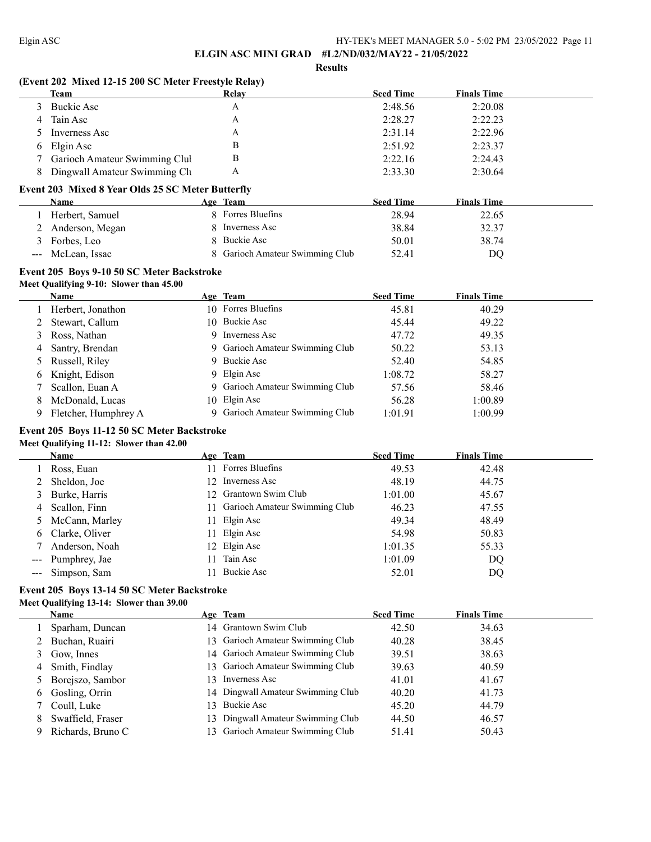**Results**

# **(Event 202 Mixed 12-15 200 SC Meter Freestyle Relay)**

|    | Team                            | Relay | <b>Seed Time</b> | <b>Finals Time</b> |  |
|----|---------------------------------|-------|------------------|--------------------|--|
|    | 3 Buckie Asc                    | А     | 2:48.56          | 2:20.08            |  |
| 4  | Tain Asc                        | А     | 2:28.27          | 2:22.23            |  |
|    | 5 Inverness Asc                 | А     | 2:31.14          | 2:22.96            |  |
|    | 6 Elgin Asc                     | в     | 2:51.92          | 2:23.37            |  |
|    | 7 Garioch Amateur Swimming Clul | В     | 2:22.16          | 2:24.43            |  |
| 8. | Dingwall Amateur Swimming Clu   | А     | 2:33.30          | 2:30.64            |  |

## **Event 203 Mixed 8 Year Olds 25 SC Meter Butterfly**

| Name              | Age Team                      | <b>Seed Time</b> | <b>Finals Time</b> |  |
|-------------------|-------------------------------|------------------|--------------------|--|
| Herbert, Samuel   | 8 Forres Bluefins             | 28.94            | 22.65              |  |
| 2 Anderson, Megan | 8 Inverness Asc               | 38.84            | 32.37              |  |
| Forbes, Leo       | 8 Buckie Asc                  | 50.01            | 38.74              |  |
| --- McLean, Issac | Garioch Amateur Swimming Club | 52.41            | DO                 |  |

# **Event 205 Boys 9-10 50 SC Meter Backstroke**

## **Meet Qualifying 9-10: Slower than 45.00**

|   | Name                 |   | Age Team                        | <b>Seed Time</b> | <b>Finals Time</b> |  |
|---|----------------------|---|---------------------------------|------------------|--------------------|--|
|   | 1 Herbert, Jonathon  |   | 10 Forres Bluefins              | 45.81            | 40.29              |  |
|   | 2 Stewart, Callum    |   | 10 Buckie Asc                   | 45.44            | 49.22              |  |
|   | 3 Ross, Nathan       | 9 | Inverness Asc                   | 47.72            | 49.35              |  |
|   | 4 Santry, Brendan    |   | 9 Garioch Amateur Swimming Club | 50.22            | 53.13              |  |
|   | 5 Russell, Riley     |   | 9 Buckie Asc                    | 52.40            | 54.85              |  |
|   | 6 Knight, Edison     |   | 9 Elgin Asc                     | 1:08.72          | 58.27              |  |
|   | 7 Scallon, Euan A    |   | 9 Garioch Amateur Swimming Club | 57.56            | 58.46              |  |
| 8 | McDonald, Lucas      |   | 10 Elgin Asc                    | 56.28            | 1:00.89            |  |
|   | Fletcher, Humphrey A |   | 9 Garioch Amateur Swimming Club | 1:01.91          | 1:00.99            |  |

## **Event 205 Boys 11-12 50 SC Meter Backstroke Meet Qualifying 11-12: Slower than 42.00**

|   | Name              | Age Team                         | <b>Seed Time</b> | <b>Finals Time</b> |
|---|-------------------|----------------------------------|------------------|--------------------|
|   | Ross, Euan        | 11 Forres Bluefins               | 49.53            | 42.48              |
|   | Sheldon, Joe      | 12 Inverness Asc                 | 48.19            | 44.75              |
| 3 | Burke, Harris     | 12 Grantown Swim Club            | 1:01.00          | 45.67              |
| 4 | Scallon, Finn     | 11 Garioch Amateur Swimming Club | 46.23            | 47.55              |
|   | 5 McCann, Marley  | 11 Elgin Asc                     | 49.34            | 48.49              |
|   | 6 Clarke, Oliver  | 11 Elgin Asc                     | 54.98            | 50.83              |
|   | Anderson, Noah    | 12 Elgin Asc                     | 1:01.35          | 55.33              |
|   | --- Pumphrey, Jae | Tain Asc                         | 1:01.09          | DQ                 |
|   | --- Simpson, Sam  | Buckie Asc                       | 52.01            | DQ                 |

## **Event 205 Boys 13-14 50 SC Meter Backstroke Meet Qualifying 13-14: Slower than 39.00**

|   | <b>Name</b>        | Age Team                          | <b>Seed Time</b> | <b>Finals Time</b> |
|---|--------------------|-----------------------------------|------------------|--------------------|
|   | Sparham, Duncan    | 14 Grantown Swim Club             | 42.50            | 34.63              |
|   | 2 Buchan, Ruairi   | 13 Garioch Amateur Swimming Club  | 40.28            | 38.45              |
|   | Gow, Innes         | 14 Garioch Amateur Swimming Club  | 39.51            | 38.63              |
| 4 | Smith, Findlay     | 13 Garioch Amateur Swimming Club  | 39.63            | 40.59              |
|   | 5 Borejszo, Sambor | 13 Inverness Asc                  | 41.01            | 41.67              |
| 6 | Gosling, Orrin     | 14 Dingwall Amateur Swimming Club | 40.20            | 41.73              |
|   | Coull, Luke        | 3 Buckie Asc                      | 45.20            | 44.79              |
|   | Swaffield, Fraser  | 13 Dingwall Amateur Swimming Club | 44.50            | 46.57              |
|   | Richards, Bruno C  | 13 Garioch Amateur Swimming Club  | 51.41            | 50.43              |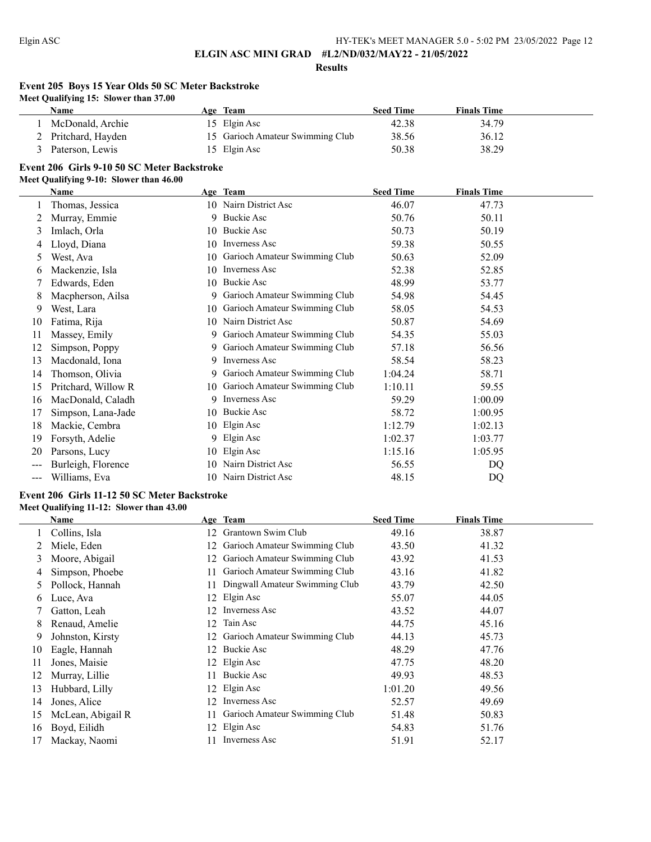**Results**

# **Event 205 Boys 15 Year Olds 50 SC Meter Backstroke**

**Meet Qualifying 15: Slower than 37.00**

| Name                | <b>Age Team</b>                  | <b>Seed Time</b> | <b>Finals Time</b> |  |
|---------------------|----------------------------------|------------------|--------------------|--|
| McDonald, Archie    | 15 Elgin Asc                     | 42.38            | 34.79              |  |
| 2 Pritchard, Hayden | 15 Garioch Amateur Swimming Club | 38.56            | 36.12              |  |
| Paterson, Lewis     | 15 Elgin Asc                     | 50.38            | 38.29              |  |

# **Event 206 Girls 9-10 50 SC Meter Backstroke**

#### **Meet Qualifying 9-10: Slower than 46.00**

|     | Name                |     | Age Team                      | <b>Seed Time</b> | <b>Finals Time</b> |  |
|-----|---------------------|-----|-------------------------------|------------------|--------------------|--|
|     | Thomas, Jessica     | 10. | Nairn District Asc            | 46.07            | 47.73              |  |
| 2   | Murray, Emmie       | 9.  | Buckie Asc                    | 50.76            | 50.11              |  |
| 3   | Imlach, Orla        | 10  | Buckie Asc                    | 50.73            | 50.19              |  |
| 4   | Lloyd, Diana        | 10  | Inverness Asc                 | 59.38            | 50.55              |  |
| 5   | West, Ava           | 10  | Garioch Amateur Swimming Club | 50.63            | 52.09              |  |
| 6   | Mackenzie, Isla     | 10  | Inverness Asc                 | 52.38            | 52.85              |  |
|     | Edwards, Eden       | 10  | <b>Buckie Asc</b>             | 48.99            | 53.77              |  |
| 8   | Macpherson, Ailsa   | 9.  | Garioch Amateur Swimming Club | 54.98            | 54.45              |  |
| 9   | West, Lara          | 10  | Garioch Amateur Swimming Club | 58.05            | 54.53              |  |
| 10  | Fatima, Rija        | 10  | Nairn District Asc            | 50.87            | 54.69              |  |
| 11  | Massey, Emily       | 9.  | Garioch Amateur Swimming Club | 54.35            | 55.03              |  |
| 12  | Simpson, Poppy      | 9.  | Garioch Amateur Swimming Club | 57.18            | 56.56              |  |
| 13  | Macdonald, Iona     | 9.  | Inverness Asc                 | 58.54            | 58.23              |  |
| 14  | Thomson, Olivia     | 9.  | Garioch Amateur Swimming Club | 1:04.24          | 58.71              |  |
| 15  | Pritchard, Willow R | 10  | Garioch Amateur Swimming Club | 1:10.11          | 59.55              |  |
| 16  | MacDonald, Caladh   | 9.  | <b>Inverness Asc</b>          | 59.29            | 1:00.09            |  |
| 17  | Simpson, Lana-Jade  | 10  | <b>Buckie Asc</b>             | 58.72            | 1:00.95            |  |
| 18  | Mackie, Cembra      | 10  | Elgin Asc                     | 1:12.79          | 1:02.13            |  |
| 19  | Forsyth, Adelie     | 9.  | Elgin Asc                     | 1:02.37          | 1:03.77            |  |
| 20  | Parsons, Lucy       | 10  | Elgin Asc                     | 1:15.16          | 1:05.95            |  |
|     | Burleigh, Florence  | 10  | Nairn District Asc            | 56.55            | DQ                 |  |
| --- | Williams, Eva       | 10  | Nairn District Asc            | 48.15            | DO                 |  |

## **Event 206 Girls 11-12 50 SC Meter Backstroke Meet Qualifying 11-12: Slower than 43.00**

|               | Name              |    | Age Team                       | <b>Seed Time</b> | <b>Finals Time</b> |
|---------------|-------------------|----|--------------------------------|------------------|--------------------|
|               | Collins, Isla     | 12 | Grantown Swim Club             | 49.16            | 38.87              |
|               | Miele, Eden       | 12 | Garioch Amateur Swimming Club  | 43.50            | 41.32              |
| 3             | Moore, Abigail    | 12 | Garioch Amateur Swimming Club  | 43.92            | 41.53              |
| 4             | Simpson, Phoebe   |    | Garioch Amateur Swimming Club  | 43.16            | 41.82              |
| $\mathcal{L}$ | Pollock, Hannah   |    | Dingwall Amateur Swimming Club | 43.79            | 42.50              |
| 6             | Luce, Ava         | 12 | Elgin Asc                      | 55.07            | 44.05              |
|               | Gatton, Leah      | 12 | Inverness Asc                  | 43.52            | 44.07              |
| 8             | Renaud, Amelie    | 12 | Tain Asc                       | 44.75            | 45.16              |
| 9.            | Johnston, Kirsty  |    | Garioch Amateur Swimming Club  | 44.13            | 45.73              |
| 10            | Eagle, Hannah     | 12 | Buckie Asc                     | 48.29            | 47.76              |
| 11            | Jones, Maisie     |    | 12 Elgin Asc                   | 47.75            | 48.20              |
| 12            | Murray, Lillie    |    | Buckie Asc                     | 49.93            | 48.53              |
| 13            | Hubbard, Lilly    |    | 12 Elgin Asc                   | 1:01.20          | 49.56              |
| 14            | Jones, Alice      | 12 | Inverness Asc                  | 52.57            | 49.69              |
| 15            | McLean, Abigail R |    | Garioch Amateur Swimming Club  | 51.48            | 50.83              |
| 16            | Boyd, Eilidh      | 12 | Elgin Asc                      | 54.83            | 51.76              |
| 17            | Mackay, Naomi     |    | Inverness Asc                  | 51.91            | 52.17              |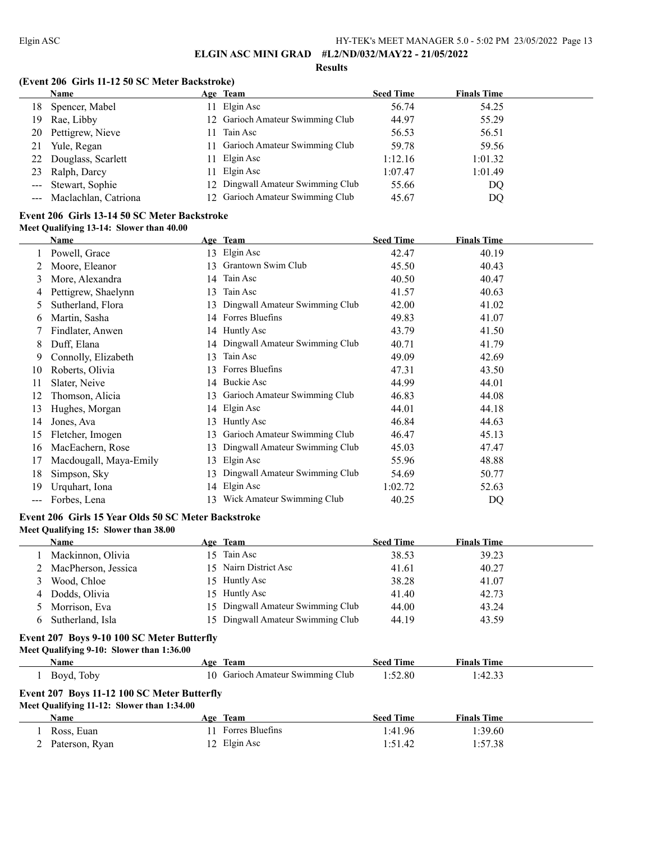**Results**

## **(Event 206 Girls 11-12 50 SC Meter Backstroke)**

|     | Name                     |     | Age Team                          | <b>Seed Time</b> | <b>Finals Time</b> |  |
|-----|--------------------------|-----|-----------------------------------|------------------|--------------------|--|
| 18. | Spencer, Mabel           |     | 11 Elgin Asc                      | 56.74            | 54.25              |  |
| 19. | Rae, Libby               |     | 12 Garioch Amateur Swimming Club  | 44.97            | 55.29              |  |
| 20  | Pettigrew, Nieve         | 11. | Tain Asc                          | 56.53            | 56.51              |  |
| 21  | Yule, Regan              | 11  | Garioch Amateur Swimming Club     | 59.78            | 59.56              |  |
|     | 22 Douglass, Scarlett    |     | 11 Elgin Asc                      | 1:12.16          | 1:01.32            |  |
| 23  | Ralph, Darcy             |     | 11 Elgin Asc                      | 1:07.47          | 1:01.49            |  |
|     | --- Stewart, Sophie      |     | 12 Dingwall Amateur Swimming Club | 55.66            | DQ                 |  |
|     | --- Maclachlan, Catriona |     | 12 Garioch Amateur Swimming Club  | 45.67            | DQ                 |  |

## **Event 206 Girls 13-14 50 SC Meter Backstroke Meet Qualifying 13-14: Slower than 40.00**

|     | Name                   |     | Age Team                       | <b>Seed Time</b> | <b>Finals Time</b> |
|-----|------------------------|-----|--------------------------------|------------------|--------------------|
|     | Powell, Grace          | 13  | Elgin Asc                      | 42.47            | 40.19              |
|     | Moore, Eleanor         | 13  | Grantown Swim Club             | 45.50            | 40.43              |
| 3   | More, Alexandra        | 14  | Tain Asc                       | 40.50            | 40.47              |
| 4   | Pettigrew, Shaelynn    | 13  | Tain Asc                       | 41.57            | 40.63              |
| 5   | Sutherland, Flora      | 13. | Dingwall Amateur Swimming Club | 42.00            | 41.02              |
| 6   | Martin, Sasha          | 14  | Forres Bluefins                | 49.83            | 41.07              |
|     | Findlater, Anwen       | 14  | Huntly Asc                     | 43.79            | 41.50              |
| 8   | Duff, Elana            | 14  | Dingwall Amateur Swimming Club | 40.71            | 41.79              |
| 9   | Connolly, Elizabeth    | 13  | Tain Asc                       | 49.09            | 42.69              |
| 10  | Roberts, Olivia        | 13. | Forres Bluefins                | 47.31            | 43.50              |
| 11  | Slater, Neive          | 14  | <b>Buckie Asc</b>              | 44.99            | 44.01              |
| 12  | Thomson, Alicia        | 13. | Garioch Amateur Swimming Club  | 46.83            | 44.08              |
| 13  | Hughes, Morgan         |     | 14 Elgin Asc                   | 44.01            | 44.18              |
| 14  | Jones, Ava             | 13  | Huntly Asc                     | 46.84            | 44.63              |
| 15  | Fletcher, Imogen       | 13. | Garioch Amateur Swimming Club  | 46.47            | 45.13              |
| 16  | MacEachern, Rose       | 13  | Dingwall Amateur Swimming Club | 45.03            | 47.47              |
| 17  | Macdougall, Maya-Emily | 13  | Elgin Asc                      | 55.96            | 48.88              |
| 18  | Simpson, Sky           | 13. | Dingwall Amateur Swimming Club | 54.69            | 50.77              |
| 19  | Urquhart, Iona         | 14  | Elgin Asc                      | 1:02.72          | 52.63              |
| --- | Forbes, Lena           | 13. | Wick Amateur Swimming Club     | 40.25            | DQ                 |

# **Event 206 Girls 15 Year Olds 50 SC Meter Backstroke**

**Meet Qualifying 15: Slower than 38.00**

|   | <b>Name</b>           | Age Team                          | <b>Seed Time</b> | <b>Finals Time</b> |
|---|-----------------------|-----------------------------------|------------------|--------------------|
|   | Mackinnon, Olivia     | 15 Tain Asc                       | 38.53            | 39.23              |
|   | 2 MacPherson, Jessica | 15 Nairn District Asc             | 41.61            | 40.27              |
|   | Wood, Chloe           | 15 Huntly Asc                     | 38.28            | 41.07              |
| 4 | Dodds, Olivia         | 15 Huntly Asc                     | 41.40            | 42.73              |
|   | Morrison, Eva         | 15 Dingwall Amateur Swimming Club | 44.00            | 43.24              |
|   | Sutherland, Isla      | 15 Dingwall Amateur Swimming Club | 44.19            | 43.59              |

# **Event 207 Boys 9-10 100 SC Meter Butterfly**

**Meet Qualifying 9-10: Slower than 1:36.00**

| <b>Name</b>                                 |     | Age Team                         | <b>Seed Time</b> | <b>Finals Time</b> |  |  |  |
|---------------------------------------------|-----|----------------------------------|------------------|--------------------|--|--|--|
| Boyd, Toby                                  |     | 10 Garioch Amateur Swimming Club | 1:52.80          | 1:42.33            |  |  |  |
| Event 207 Boys 11-12 100 SC Meter Butterfly |     |                                  |                  |                    |  |  |  |
| Meet Qualifying 11-12: Slower than 1:34.00  |     |                                  |                  |                    |  |  |  |
| <b>Name</b>                                 |     | Age Team                         | <b>Seed Time</b> | <b>Finals Time</b> |  |  |  |
| Ross, Euan                                  | 11. | Forres Bluefins                  | 1:41.96          | 1:39.60            |  |  |  |
| Paterson, Ryan                              |     | 12 Elgin Asc                     | 1:51.42          | 1:57.38            |  |  |  |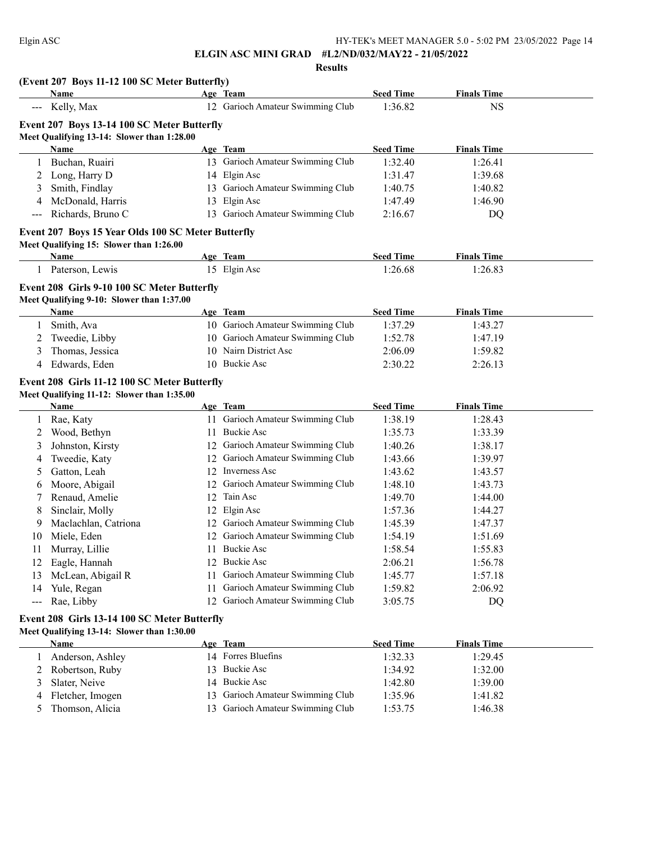#### **Results**

|                     | (Event 207 Boys 11-12 100 SC Meter Butterfly)<br>Name                                     |    | Age Team                           | <b>Seed Time</b> | <b>Finals Time</b> |  |
|---------------------|-------------------------------------------------------------------------------------------|----|------------------------------------|------------------|--------------------|--|
|                     | --- Kelly, Max                                                                            |    | 12 Garioch Amateur Swimming Club   | 1:36.82          | <b>NS</b>          |  |
|                     |                                                                                           |    |                                    |                  |                    |  |
|                     | Event 207 Boys 13-14 100 SC Meter Butterfly<br>Meet Qualifying 13-14: Slower than 1:28.00 |    |                                    |                  |                    |  |
|                     | Name                                                                                      |    | Age Team                           | <b>Seed Time</b> | <b>Finals Time</b> |  |
| 1                   | Buchan, Ruairi                                                                            |    | 13 Garioch Amateur Swimming Club   | 1:32.40          | 1:26.41            |  |
| 2                   | Long, Harry D                                                                             |    | 14 Elgin Asc                       | 1:31.47          | 1:39.68            |  |
| 3                   | Smith, Findlay                                                                            |    | 13 Garioch Amateur Swimming Club   | 1:40.75          | 1:40.82            |  |
| 4                   | McDonald, Harris                                                                          | 13 | Elgin Asc                          | 1:47.49          | 1:46.90            |  |
| $\qquad \qquad - -$ | Richards, Bruno C                                                                         |    | 13 Garioch Amateur Swimming Club   | 2:16.67          | DQ                 |  |
|                     |                                                                                           |    |                                    |                  |                    |  |
|                     | Event 207 Boys 15 Year Olds 100 SC Meter Butterfly                                        |    |                                    |                  |                    |  |
|                     | Meet Qualifying 15: Slower than 1:26.00<br>Name                                           |    | Age Team                           | <b>Seed Time</b> | <b>Finals Time</b> |  |
|                     | 1 Paterson, Lewis                                                                         |    | 15 Elgin Asc                       | 1:26.68          | 1:26.83            |  |
|                     |                                                                                           |    |                                    |                  |                    |  |
|                     | Event 208 Girls 9-10 100 SC Meter Butterfly                                               |    |                                    |                  |                    |  |
|                     | Meet Qualifying 9-10: Slower than 1:37.00                                                 |    |                                    |                  |                    |  |
|                     | <b>Name</b>                                                                               |    | Age Team                           | <b>Seed Time</b> | <b>Finals Time</b> |  |
|                     | Smith, Ava                                                                                |    | 10 Garioch Amateur Swimming Club   | 1:37.29          | 1:43.27            |  |
| 2                   | Tweedie, Libby                                                                            |    | 10 Garioch Amateur Swimming Club   | 1:52.78          | 1:47.19            |  |
| 3                   | Thomas, Jessica                                                                           | 10 | Nairn District Asc                 | 2:06.09          | 1:59.82            |  |
| 4                   | Edwards, Eden                                                                             |    | 10 Buckie Asc                      | 2:30.22          | 2:26.13            |  |
|                     | Event 208 Girls 11-12 100 SC Meter Butterfly                                              |    |                                    |                  |                    |  |
|                     | Meet Qualifying 11-12: Slower than 1:35.00                                                |    |                                    |                  |                    |  |
|                     | <b>Name</b>                                                                               |    | Age Team                           | <b>Seed Time</b> | <b>Finals Time</b> |  |
|                     | 1 Rae, Katy                                                                               |    | 11 Garioch Amateur Swimming Club   | 1:38.19          | 1:28.43            |  |
| 2                   | Wood, Bethyn                                                                              | 11 | <b>Buckie Asc</b>                  | 1:35.73          | 1:33.39            |  |
| 3                   | Johnston, Kirsty                                                                          |    | 12 Garioch Amateur Swimming Club   | 1:40.26          | 1:38.17            |  |
| 4                   | Tweedie, Katy                                                                             | 12 | Garioch Amateur Swimming Club      | 1:43.66          | 1:39.97            |  |
| 5                   | Gatton, Leah                                                                              | 12 | Inverness Asc                      | 1:43.62          | 1:43.57            |  |
| 6                   | Moore, Abigail                                                                            | 12 | Garioch Amateur Swimming Club      | 1:48.10          | 1:43.73            |  |
| 7                   | Renaud, Amelie                                                                            | 12 | Tain Asc                           | 1:49.70          | 1:44.00            |  |
| 8                   | Sinclair, Molly                                                                           | 12 | Elgin Asc                          | 1:57.36          | 1:44.27            |  |
| 9                   | Maclachlan, Catriona                                                                      | 12 | Garioch Amateur Swimming Club      | 1:45.39          | 1:47.37            |  |
| 10                  | Miele, Eden                                                                               |    | 12 Garioch Amateur Swimming Club   | 1:54.19          | 1:51.69            |  |
| 11                  | Murray, Lillie                                                                            |    | 11 Buckie Asc                      | 1:58.54          | 1:55.83            |  |
| 12                  | Eagle, Hannah                                                                             |    | 12 Buckie Asc                      | 2:06.21          | 1:56.78            |  |
| 13                  | McLean, Abigail R                                                                         | 11 | Garioch Amateur Swimming Club      | 1:45.77          | 1:57.18            |  |
| 14                  | Yule, Regan                                                                               | 11 | Garioch Amateur Swimming Club      | 1:59.82          | 2:06.92            |  |
| $\qquad \qquad -$   | Rae, Libby                                                                                |    | 12 Garioch Amateur Swimming Club   | 3:05.75          | DQ                 |  |
|                     |                                                                                           |    |                                    |                  |                    |  |
|                     | Event 208 Girls 13-14 100 SC Meter Butterfly                                              |    |                                    |                  |                    |  |
|                     | Meet Qualifying 13-14: Slower than 1:30.00                                                |    |                                    |                  |                    |  |
|                     | Name                                                                                      |    | Age Team                           | <b>Seed Time</b> | <b>Finals Time</b> |  |
| 1                   | Anderson, Ashley                                                                          |    | 14 Forres Bluefins                 | 1:32.33          | 1:29.45            |  |
| 2                   | Robertson, Ruby<br>Slater, Neive                                                          | 13 | <b>Buckie Asc</b><br>14 Buckie Asc | 1:34.92          | 1:32.00            |  |
| 3                   |                                                                                           |    |                                    | 1:42.80          | 1:39.00            |  |

4 Fletcher, Imogen 13 Garioch Amateur Swimming Club 1:35.96 1:41.82 5 Thomson, Alicia 13 Garioch Amateur Swimming Club 1:53.75 1:46.38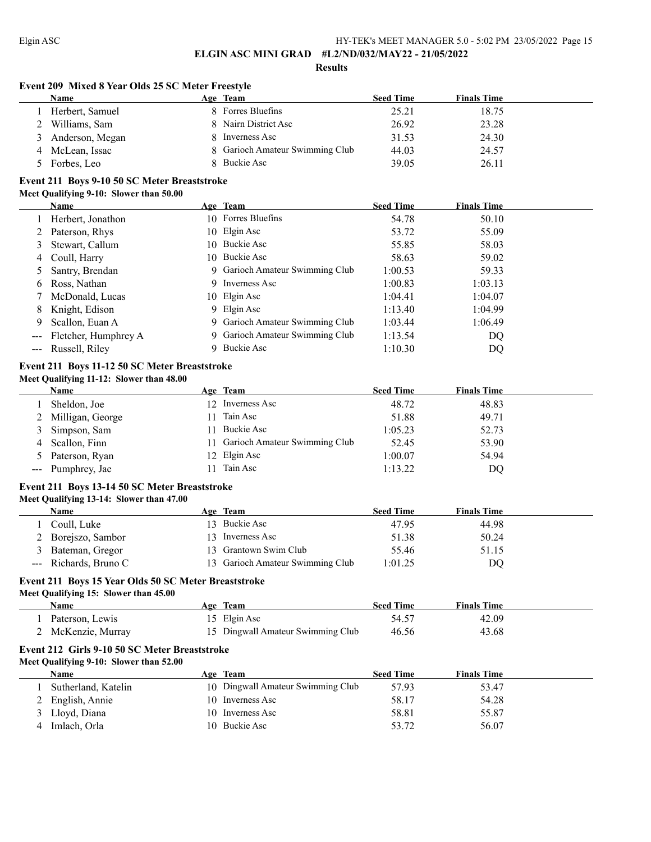$\equiv$ 

**ELGIN ASC MINI GRAD #L2/ND/032/MAY22 - 21/05/2022**

**Results**

#### **Event 209 Mixed 8 Year Olds 25 SC Meter Freestyle**

| Name              | Age Team                        | <b>Seed Time</b> | <b>Finals Time</b> |
|-------------------|---------------------------------|------------------|--------------------|
| Herbert, Samuel   | 8 Forres Bluefins               | 25.21            | 18.75              |
| 2 Williams, Sam   | 8 Nairn District Asc            | 26.92            | 23.28              |
| 3 Anderson, Megan | Inverness Asc                   | 31.53            | 24.30              |
| 4 McLean, Issac   | 8 Garioch Amateur Swimming Club | 44.03            | 24.57              |
| Forbes, Leo       | 8 Buckie Asc                    | 39.05            | 26.11              |

## **Event 211 Boys 9-10 50 SC Meter Breaststroke Meet Qualifying 9-10: Slower than 50.00**

|                      | Name                 |   | Age Team                        | <b>Seed Time</b> | <b>Finals Time</b> |  |
|----------------------|----------------------|---|---------------------------------|------------------|--------------------|--|
|                      | 1 Herbert, Jonathon  |   | 10 Forres Bluefins              | 54.78            | 50.10              |  |
|                      | 2 Paterson, Rhys     |   | 10 Elgin Asc                    | 53.72            | 55.09              |  |
| 3                    | Stewart, Callum      |   | 10 Buckie Asc                   | 55.85            | 58.03              |  |
|                      | 4 Coull, Harry       |   | 10 Buckie Asc                   | 58.63            | 59.02              |  |
|                      | 5 Santry, Brendan    |   | 9 Garioch Amateur Swimming Club | 1:00.53          | 59.33              |  |
| 6                    | Ross, Nathan         | 9 | Inverness Asc                   | 1:00.83          | 1:03.13            |  |
|                      | 7 McDonald, Lucas    |   | 10 Elgin Asc                    | 1:04.41          | 1:04.07            |  |
|                      | 8 Knight, Edison     |   | 9 Elgin Asc                     | 1:13.40          | 1:04.99            |  |
| 9                    | Scallon, Euan A      |   | 9 Garioch Amateur Swimming Club | 1:03.44          | 1:06.49            |  |
| $\sim$ $\sim$ $\sim$ | Fletcher, Humphrey A |   | 9 Garioch Amateur Swimming Club | 1:13.54          | DQ                 |  |
|                      | Russell, Riley       |   | Buckie Asc                      | 1:10.30          | DQ                 |  |

#### **Event 211 Boys 11-12 50 SC Meter Breaststroke Meet Qualifying 11-12: Slower than 48.00**

| <b>Name</b>        | Age Team                         | <b>Seed Time</b> | <b>Finals Time</b> |
|--------------------|----------------------------------|------------------|--------------------|
| Sheldon, Joe       | 12 Inverness Asc                 | 48.72            | 48.83              |
| 2 Milligan, George | Tain Asc                         | 51.88            | 49.71              |
| 3 Simpson, Sam     | Buckie Asc                       | 1:05.23          | 52.73              |
| 4 Scallon, Finn    | 11 Garioch Amateur Swimming Club | 52.45            | 53.90              |
| 5 Paterson, Ryan   | 12 Elgin Asc                     | 1:00.07          | 54.94              |
| --- Pumphrey, Jae  | Tain Asc                         | 1:13.22          | DO                 |

# **Event 211 Boys 13-14 50 SC Meter Breaststroke**

## **Meet Qualifying 13-14: Slower than 47.00**

| Name                  | Age Team                         | <b>Seed Time</b> | <b>Finals Time</b> |  |
|-----------------------|----------------------------------|------------------|--------------------|--|
| Coull, Luke           | 13 Buckie Asc                    | 47.95            | 44.98              |  |
| 2 Borejszo, Sambor    | 13 Inverness Asc                 | 51.38            | 50.24              |  |
| Bateman, Gregor       | 13 Grantown Swim Club            | 55.46            | 51.15              |  |
| --- Richards, Bruno C | 13 Garioch Amateur Swimming Club | 1:01.25          | DQ                 |  |

#### **Event 211 Boys 15 Year Olds 50 SC Meter Breaststroke Meet Qualifying 15: Slower than 45.00**

| Meet Qualifying 15: Slower than 45.00 |  |
|---------------------------------------|--|
| Name                                  |  |

| Name               | Age Team                          | <b>Seed Time</b> | <b>Finals Time</b> |  |
|--------------------|-----------------------------------|------------------|--------------------|--|
| Paterson, Lewis    | 15 Elgin Asc                      | 54.57            | 42.09              |  |
| 2 McKenzie, Murray | 15 Dingwall Amateur Swimming Club | 46.56            | 43.68              |  |

# **Event 212 Girls 9-10 50 SC Meter Breaststroke**

# **Meet Qualifying 9-10: Slower than 52.00**

| Name                | Age                | Team                              | <b>Seed Time</b> | <b>Finals Time</b> |  |
|---------------------|--------------------|-----------------------------------|------------------|--------------------|--|
| Sutherland, Katelin |                    | 10 Dingwall Amateur Swimming Club | 57.93            | 53.47              |  |
| 2 English, Annie    |                    | 10 Inverness Asc                  | 58.17            | 54.28              |  |
| 3 Lloyd, Diana      |                    | 10 Inverness Asc                  | 58.81            | 55.87              |  |
| Imlach, Orla        | $\vert$ () $\vert$ | Buckie Asc                        | 53.72            | 56.07              |  |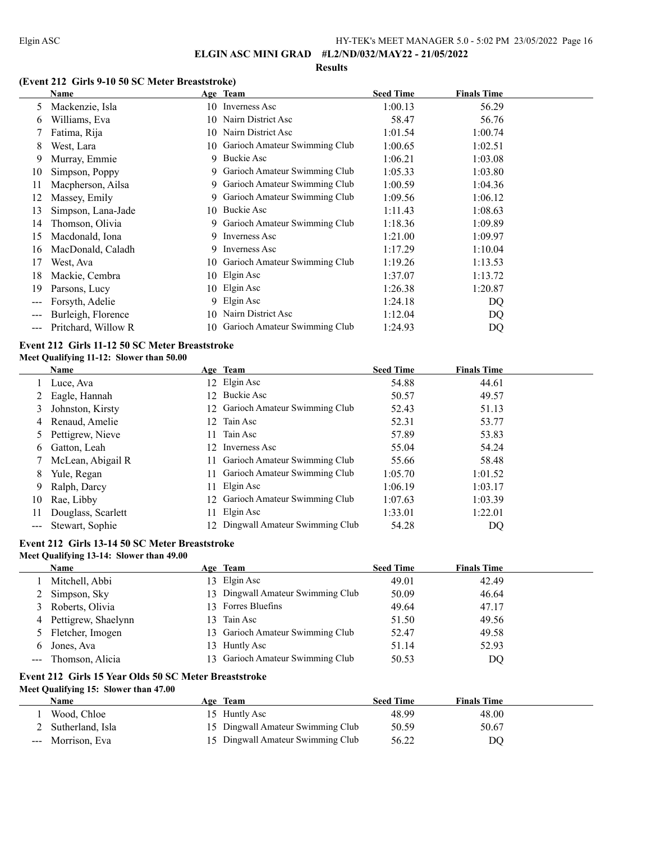#### **Results**

## **(Event 212 Girls 9-10 50 SC Meter Breaststroke)**

|       | Name                |     | Age Team                         | <b>Seed Time</b> | <b>Finals Time</b> |  |
|-------|---------------------|-----|----------------------------------|------------------|--------------------|--|
| 5     | Mackenzie, Isla     |     | 10 Inverness Asc                 | 1:00.13          | 56.29              |  |
| 6     | Williams, Eva       | 10. | Nairn District Asc               | 58.47            | 56.76              |  |
|       | Fatima, Rija        | 10. | Nairn District Asc               | 1:01.54          | 1:00.74            |  |
| 8     | West, Lara          |     | 10 Garioch Amateur Swimming Club | 1:00.65          | 1:02.51            |  |
| 9     | Murray, Emmie       |     | 9 Buckie Asc                     | 1:06.21          | 1:03.08            |  |
| 10    | Simpson, Poppy      |     | 9 Garioch Amateur Swimming Club  | 1:05.33          | 1:03.80            |  |
| 11    | Macpherson, Ailsa   |     | 9 Garioch Amateur Swimming Club  | 1:00.59          | 1:04.36            |  |
| 12    | Massey, Emily       |     | Garioch Amateur Swimming Club    | 1:09.56          | 1:06.12            |  |
| 13    | Simpson, Lana-Jade  | 10  | Buckie Asc                       | 1:11.43          | 1:08.63            |  |
| 14    | Thomson, Olivia     | 9.  | Garioch Amateur Swimming Club    | 1:18.36          | 1:09.89            |  |
| 15    | Macdonald, Iona     |     | 9 Inverness Asc                  | 1:21.00          | 1:09.97            |  |
| 16    | MacDonald, Caladh   |     | 9 Inverness Asc                  | 1:17.29          | 1:10.04            |  |
| 17    | West, Ava           | 10  | Garioch Amateur Swimming Club    | 1:19.26          | 1:13.53            |  |
| 18    | Mackie, Cembra      |     | 10 Elgin Asc                     | 1:37.07          | 1:13.72            |  |
| 19    | Parsons, Lucy       |     | 10 Elgin Asc                     | 1:26.38          | 1:20.87            |  |
| $---$ | Forsyth, Adelie     |     | 9 Elgin Asc                      | 1:24.18          | DQ                 |  |
|       | Burleigh, Florence  | 10  | Nairn District Asc               | 1:12.04          | DQ                 |  |
|       | Pritchard, Willow R |     | 10 Garioch Amateur Swimming Club | 1:24.93          | DQ                 |  |

# **Event 212 Girls 11-12 50 SC Meter Breaststroke**

# **Meet Qualifying 11-12: Slower than 50.00**

|               | Name               |     | Age Team                          | <b>Seed Time</b> | <b>Finals Time</b> |  |
|---------------|--------------------|-----|-----------------------------------|------------------|--------------------|--|
|               | Luce, Ava          |     | 12 Elgin Asc                      | 54.88            | 44.61              |  |
|               | Eagle, Hannah      |     | 12 Buckie Asc                     | 50.57            | 49.57              |  |
|               | Johnston, Kirsty   |     | 12 Garioch Amateur Swimming Club  | 52.43            | 51.13              |  |
| 4             | Renaud, Amelie     | 12. | Tain Asc                          | 52.31            | 53.77              |  |
|               | Pettigrew, Nieve   | 11. | Tain Asc                          | 57.89            | 53.83              |  |
| 6             | Gatton, Leah       |     | 12 Inverness Asc                  | 55.04            | 54.24              |  |
|               | McLean, Abigail R  | 11. | Garioch Amateur Swimming Club     | 55.66            | 58.48              |  |
| 8             | Yule, Regan        | 11. | Garioch Amateur Swimming Club     | 1:05.70          | 1:01.52            |  |
| 9             | Ralph, Darcy       |     | 11 Elgin Asc                      | 1:06.19          | 1:03.17            |  |
| 10            | Rae, Libby         |     | 12 Garioch Amateur Swimming Club  | 1:07.63          | 1:03.39            |  |
|               | Douglass, Scarlett | 11. | Elgin Asc                         | 1:33.01          | 1:22.01            |  |
| $\frac{1}{2}$ | Stewart, Sophie    |     | 12 Dingwall Amateur Swimming Club | 54.28            | DQ                 |  |

# **Event 212 Girls 13-14 50 SC Meter Breaststroke**

## **Meet Qualifying 13-14: Slower than 49.00**

|    | <b>Name</b>         |              | Age Team                          | <b>Seed Time</b> | <b>Finals Time</b> |
|----|---------------------|--------------|-----------------------------------|------------------|--------------------|
|    | Mitchell, Abbi      |              | 13 Elgin Asc                      | 49.01            | 42.49              |
|    | 2 Simpson, Sky      |              | 13 Dingwall Amateur Swimming Club | 50.09            | 46.64              |
| 3. | Roberts, Olivia     |              | 13 Forres Bluefins                | 49.64            | 47.17              |
| 4  | Pettigrew, Shaelynn | $\mathbf{R}$ | Tain Asc                          | 51.50            | 49.56              |
|    | 5 Fletcher, Imogen  |              | 13 Garioch Amateur Swimming Club  | 52.47            | 49.58              |
| 6  | Jones, Ava          |              | 13 Huntly Asc                     | 51.14            | 52.93              |
|    | Thomson, Alicia     |              | 13 Garioch Amateur Swimming Club  | 50.53            | DQ                 |
|    |                     |              |                                   |                  |                    |

## **Event 212 Girls 15 Year Olds 50 SC Meter Breaststroke Meet Qualifying 15: Slower than 47.00**

| Name              | Age Team                          | <b>Seed Time</b> | <b>Finals Time</b> |
|-------------------|-----------------------------------|------------------|--------------------|
| Wood, Chloe       | 15 Huntly Asc                     | 48.99            | 48.00              |
| Sutherland, Isla  | 15 Dingwall Amateur Swimming Club | 50.59            | 50.67              |
| --- Morrison, Eva | 15 Dingwall Amateur Swimming Club | 56.22            | DO                 |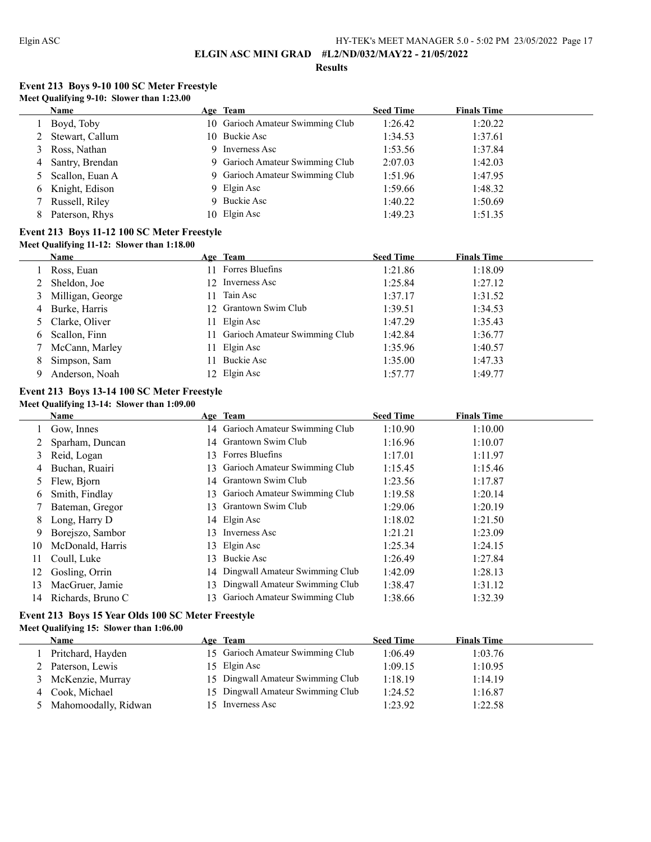L

**ELGIN ASC MINI GRAD #L2/ND/032/MAY22 - 21/05/2022**

#### **Results**

# **Event 213 Boys 9-10 100 SC Meter Freestyle Meet Qualifying 9-10: Slower than 1:23.00**

|   | <b>Name</b>     | Age Team                         | <b>Seed Time</b> | <b>Finals Time</b> |  |
|---|-----------------|----------------------------------|------------------|--------------------|--|
|   | Boyd, Toby      | 10 Garioch Amateur Swimming Club | 1:26.42          | 1:20.22            |  |
|   | Stewart, Callum | 10 Buckie Asc                    | 1:34.53          | 1:37.61            |  |
|   | Ross, Nathan    | 9 Inverness Asc                  | 1:53.56          | 1:37.84            |  |
| 4 | Santry, Brendan | 9 Garioch Amateur Swimming Club  | 2:07.03          | 1:42.03            |  |
|   | Scallon, Euan A | 9 Garioch Amateur Swimming Club  | 1:51.96          | 1:47.95            |  |
| 6 | Knight, Edison  | 9 Elgin Asc                      | 1:59.66          | 1:48.32            |  |
|   | Russell, Riley  | 9 Buckie Asc                     | 1:40.22          | 1:50.69            |  |
|   | Paterson, Rhys  | 10 Elgin Asc                     | 1:49.23          | 1:51.35            |  |

### **Event 213 Boys 11-12 100 SC Meter Freestyle Meet Qualifying 11-12: Slower than 1:18.00**

# **Name Age Team Seed Time Finals Time** 1 Ross, Euan 11 Forres Bluefins 1:21.86 1:18.09 2 Sheldon, Joe 12 Inverness Asc 1:25.84 1:27.12 3 Milligan, George 11 Tain Asc 1:37.17 1:31.52 4 Burke, Harris 12 Grantown Swim Club 1:39.51 1:34.53 5 Clarke, Oliver 11 Elgin Asc 1:47.29 1:35.43 6 Scallon, Finn 11 Garioch Amateur Swimming Club 1:42.84 1:36.77 7 McCann, Marley 11 Elgin Asc 1:35.96 1:40.57<br>
8 Simpson, Sam 11 Buckie Asc 1:35.00 1:47.33 8 Simpson, Sam 11 Buckie Asc 1:35.00 1:47.33 9 Anderson, Noah 12 Elgin Asc 1:57.77 1:49.77

#### **Event 213 Boys 13-14 100 SC Meter Freestyle Meet Qualifying 13-14: Slower than 1:09.00**

|    | Name              |     | Age Team                          | <b>Seed Time</b> | <b>Finals Time</b> |
|----|-------------------|-----|-----------------------------------|------------------|--------------------|
|    | Gow, Innes        |     | 14 Garioch Amateur Swimming Club  | 1:10.90          | 1:10.00            |
|    | Sparham, Duncan   | 14  | Grantown Swim Club                | 1:16.96          | 1:10.07            |
|    | Reid, Logan       | 13. | Forres Bluefins                   | 1:17.01          | 1:11.97            |
|    | Buchan, Ruairi    | 13  | Garioch Amateur Swimming Club     | 1:15.45          | 1:15.46            |
|    | Flew, Bjorn       | 14  | Grantown Swim Club                | 1:23.56          | 1:17.87            |
| 6  | Smith, Findlay    | 13  | Garioch Amateur Swimming Club     | 1:19.58          | 1:20.14            |
|    | Bateman, Gregor   | 13. | Grantown Swim Club                | 1:29.06          | 1:20.19            |
| 8. | Long, Harry D     |     | 14 Elgin Asc                      | 1:18.02          | 1:21.50            |
| 9. | Borejszo, Sambor  | 13. | Inverness Asc                     | 1:21.21          | 1:23.09            |
| 10 | McDonald, Harris  | 13. | Elgin Asc                         | 1:25.34          | 1:24.15            |
|    | Coull, Luke       | 13  | Buckie Asc                        | 1:26.49          | 1:27.84            |
| 12 | Gosling, Orrin    |     | 14 Dingwall Amateur Swimming Club | 1:42.09          | 1:28.13            |
| 13 | MacGruer, Jamie   | 13  | Dingwall Amateur Swimming Club    | 1:38.47          | 1:31.12            |
| 14 | Richards, Bruno C | 13  | Garioch Amateur Swimming Club     | 1:38.66          | 1:32.39            |

## **Event 213 Boys 15 Year Olds 100 SC Meter Freestyle Meet Qualifying 15: Slower than 1:06.00**

| <b>Name</b>          | Age Team                          | <b>Seed Time</b> | <b>Finals Time</b> |  |
|----------------------|-----------------------------------|------------------|--------------------|--|
| Pritchard, Hayden    | 15 Garioch Amateur Swimming Club  | 1:06.49          | 1:03.76            |  |
| Paterson, Lewis      | 15 Elgin Asc                      | 1:09.15          | 1:10.95            |  |
| McKenzie, Murray     | 15 Dingwall Amateur Swimming Club | 1:18.19          | 1:14.19            |  |
| Cook, Michael        | 15 Dingwall Amateur Swimming Club | 1:24.52          | 1:16.87            |  |
| Mahomoodally, Ridwan | 15 Inverness Asc                  | 1:23.92          | 1:22.58            |  |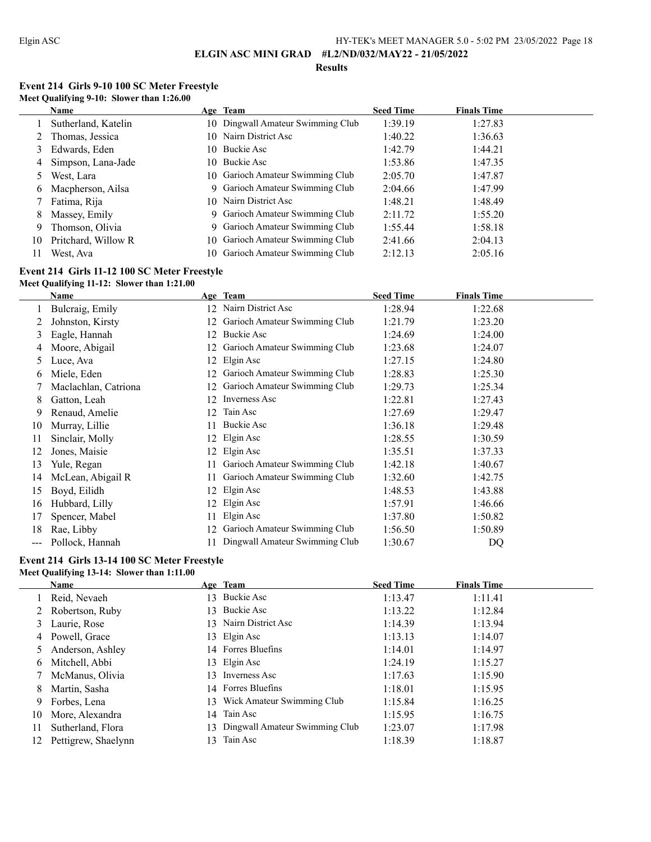### **Results**

# **Event 214 Girls 9-10 100 SC Meter Freestyle Meet Qualifying 9-10: Slower than 1:26.00**

|    | Name                 | Age Team                          | <b>Seed Time</b> | <b>Finals Time</b> |
|----|----------------------|-----------------------------------|------------------|--------------------|
|    | Sutherland, Katelin  | 10 Dingwall Amateur Swimming Club | 1:39.19          | 1:27.83            |
|    | 2 Thomas, Jessica    | 10 Nairn District Asc             | 1:40.22          | 1:36.63            |
|    | 3 Edwards, Eden      | 10 Buckie Asc                     | 1:42.79          | 1:44.21            |
|    | 4 Simpson, Lana-Jade | 10 Buckie Asc                     | 1:53.86          | 1:47.35            |
|    | West, Lara           | 10 Garioch Amateur Swimming Club  | 2:05.70          | 1:47.87            |
| 6  | Macpherson, Ailsa    | 9 Garioch Amateur Swimming Club   | 2:04.66          | 1:47.99            |
|    | Fatima, Rija         | 10 Nairn District Asc             | 1:48.21          | 1:48.49            |
| 8  | Massey, Emily        | 9 Garioch Amateur Swimming Club   | 2:11.72          | 1:55.20            |
| 9  | Thomson, Olivia      | 9 Garioch Amateur Swimming Club   | 1:55.44          | 1:58.18            |
| 10 | Pritchard, Willow R  | 10 Garioch Amateur Swimming Club  | 2:41.66          | 2:04.13            |
| 11 | West, Ava            | 10 Garioch Amateur Swimming Club  | 2:12.13          | 2:05.16            |

# **Event 214 Girls 11-12 100 SC Meter Freestyle**

## **Meet Qualifying 11-12: Slower than 1:21.00**

|     | Name                 |    | Age Team                       | <b>Seed Time</b> | <b>Finals Time</b> |
|-----|----------------------|----|--------------------------------|------------------|--------------------|
|     | Bulcraig, Emily      | 12 | Nairn District Asc             | 1:28.94          | 1:22.68            |
|     | Johnston, Kirsty     |    | Garioch Amateur Swimming Club  | 1:21.79          | 1:23.20            |
| 3   | Eagle, Hannah        | 12 | Buckie Asc                     | 1:24.69          | 1:24.00            |
| 4   | Moore, Abigail       |    | Garioch Amateur Swimming Club  | 1:23.68          | 1:24.07            |
| 5   | Luce, Ava            | 12 | Elgin Asc                      | 1:27.15          | 1:24.80            |
| 6   | Miele, Eden          |    | Garioch Amateur Swimming Club  | 1:28.83          | 1:25.30            |
|     | Maclachlan, Catriona |    | Garioch Amateur Swimming Club  | 1:29.73          | 1:25.34            |
| 8   | Gatton, Leah         | 12 | Inverness Asc                  | 1:22.81          | 1:27.43            |
| 9   | Renaud, Amelie       | 12 | Tain Asc                       | 1:27.69          | 1:29.47            |
| 10  | Murray, Lillie       |    | Buckie Asc                     | 1:36.18          | 1:29.48            |
| 11  | Sinclair, Molly      | 12 | Elgin Asc                      | 1:28.55          | 1:30.59            |
| 12  | Jones, Maisie        |    | Elgin Asc                      | 1:35.51          | 1:37.33            |
| 13  | Yule, Regan          |    | Garioch Amateur Swimming Club  | 1:42.18          | 1:40.67            |
| 14  | McLean, Abigail R    | 11 | Garioch Amateur Swimming Club  | 1:32.60          | 1:42.75            |
| 15  | Boyd, Eilidh         | 12 | Elgin Asc                      | 1:48.53          | 1:43.88            |
| 16  | Hubbard, Lilly       |    | Elgin Asc                      | 1:57.91          | 1:46.66            |
| 17  | Spencer, Mabel       |    | Elgin Asc                      | 1:37.80          | 1:50.82            |
| 18  | Rae, Libby           | 12 | Garioch Amateur Swimming Club  | 1:56.50          | 1:50.89            |
| --- | Pollock, Hannah      |    | Dingwall Amateur Swimming Club | 1:30.67          | DQ                 |

## **Event 214 Girls 13-14 100 SC Meter Freestyle Meet Qualifying 13-14: Slower than 1:11.00**

|     | Name                |    | Age Team                          | <b>Seed Time</b> | <b>Finals Time</b> |
|-----|---------------------|----|-----------------------------------|------------------|--------------------|
|     | Reid, Nevaeh        |    | 13 Buckie Asc                     | 1:13.47          | 1:11.41            |
|     | Robertson, Ruby     | 13 | Buckie Asc                        | 1:13.22          | 1:12.84            |
| 3   | Laurie, Rose        |    | 13 Nairn District Asc             | 1:14.39          | 1:13.94            |
| 4   | Powell, Grace       |    | 13 Elgin Asc                      | 1:13.13          | 1:14.07            |
|     | Anderson, Ashley    |    | 14 Forres Bluefins                | 1:14.01          | 1:14.97            |
| 6   | Mitchell, Abbi      |    | 13 Elgin Asc                      | 1:24.19          | 1:15.27            |
|     | McManus, Olivia     |    | 13 Inverness Asc                  | 1:17.63          | 1:15.90            |
| 8   | Martin, Sasha       |    | 14 Forres Bluefins                | 1:18.01          | 1:15.95            |
| 9   | Forbes, Lena        | 13 | Wick Amateur Swimming Club        | 1:15.84          | 1:16.25            |
| 10  | More, Alexandra     | 14 | Tain Asc                          | 1:15.95          | 1:16.75            |
| 11  | Sutherland, Flora   |    | 13 Dingwall Amateur Swimming Club | 1:23.07          | 1:17.98            |
| 12. | Pettigrew, Shaelynn | 13 | Tain Asc                          | 1:18.39          | 1:18.87            |